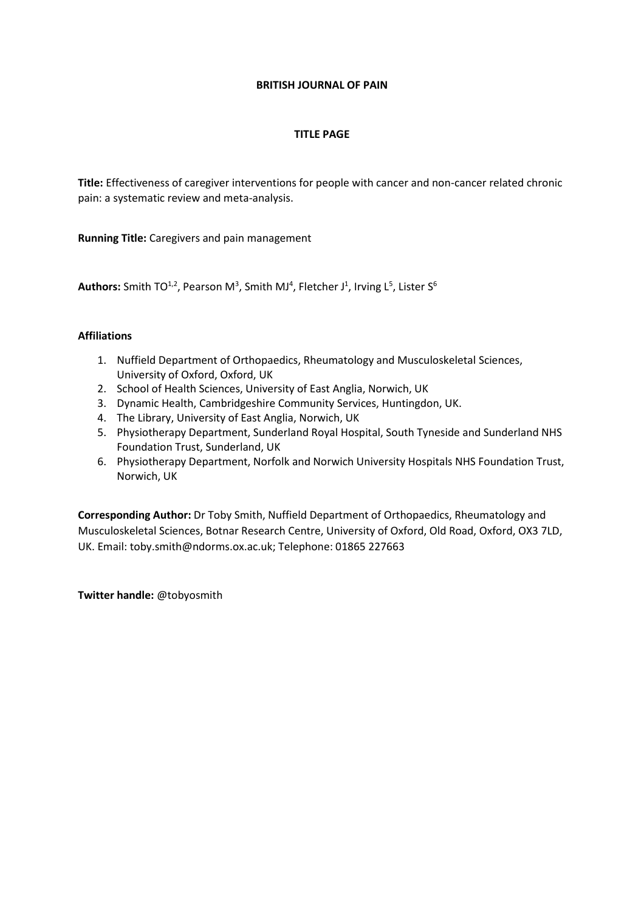# **BRITISH JOURNAL OF PAIN**

# **TITLE PAGE**

**Title:** Effectiveness of caregiver interventions for people with cancer and non-cancer related chronic pain: a systematic review and meta-analysis.

**Running Title:** Caregivers and pain management

**Authors:** Smith TO<sup>1,2</sup>, Pearson M<sup>3</sup>, Smith MJ<sup>4</sup>, Fletcher J<sup>1</sup>, Irving L<sup>5</sup>, Lister S<sup>6</sup>

# **Affiliations**

- 1. Nuffield Department of Orthopaedics, Rheumatology and Musculoskeletal Sciences, University of Oxford, Oxford, UK
- 2. School of Health Sciences, University of East Anglia, Norwich, UK
- 3. Dynamic Health, Cambridgeshire Community Services, Huntingdon, UK.
- 4. The Library, University of East Anglia, Norwich, UK
- 5. Physiotherapy Department, Sunderland Royal Hospital, South Tyneside and Sunderland NHS Foundation Trust, Sunderland, UK
- 6. Physiotherapy Department, Norfolk and Norwich University Hospitals NHS Foundation Trust, Norwich, UK

**Corresponding Author:** Dr Toby Smith, Nuffield Department of Orthopaedics, Rheumatology and Musculoskeletal Sciences, Botnar Research Centre, University of Oxford, Old Road, Oxford, OX3 7LD, UK. Email: toby.smith@ndorms.ox.ac.uk; Telephone: 01865 227663

**Twitter handle:** @tobyosmith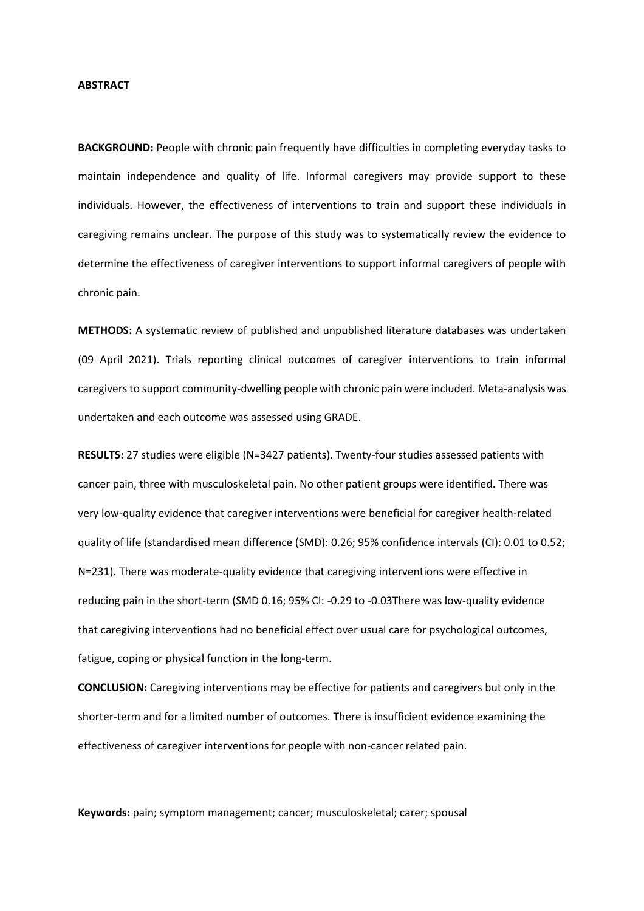#### **ABSTRACT**

**BACKGROUND:** People with chronic pain frequently have difficulties in completing everyday tasks to maintain independence and quality of life. Informal caregivers may provide support to these individuals. However, the effectiveness of interventions to train and support these individuals in caregiving remains unclear. The purpose of this study was to systematically review the evidence to determine the effectiveness of caregiver interventions to support informal caregivers of people with chronic pain.

**METHODS:** A systematic review of published and unpublished literature databases was undertaken (09 April 2021). Trials reporting clinical outcomes of caregiver interventions to train informal caregivers to support community-dwelling people with chronic pain were included. Meta-analysis was undertaken and each outcome was assessed using GRADE.

**RESULTS:** 27 studies were eligible (N=3427 patients). Twenty-four studies assessed patients with cancer pain, three with musculoskeletal pain. No other patient groups were identified. There was very low-quality evidence that caregiver interventions were beneficial for caregiver health-related quality of life (standardised mean difference (SMD): 0.26; 95% confidence intervals (CI): 0.01 to 0.52; N=231). There was moderate-quality evidence that caregiving interventions were effective in reducing pain in the short-term (SMD 0.16; 95% CI: -0.29 to -0.03There was low-quality evidence that caregiving interventions had no beneficial effect over usual care for psychological outcomes, fatigue, coping or physical function in the long-term.

**CONCLUSION:** Caregiving interventions may be effective for patients and caregivers but only in the shorter-term and for a limited number of outcomes. There is insufficient evidence examining the effectiveness of caregiver interventions for people with non-cancer related pain.

**Keywords:** pain; symptom management; cancer; musculoskeletal; carer; spousal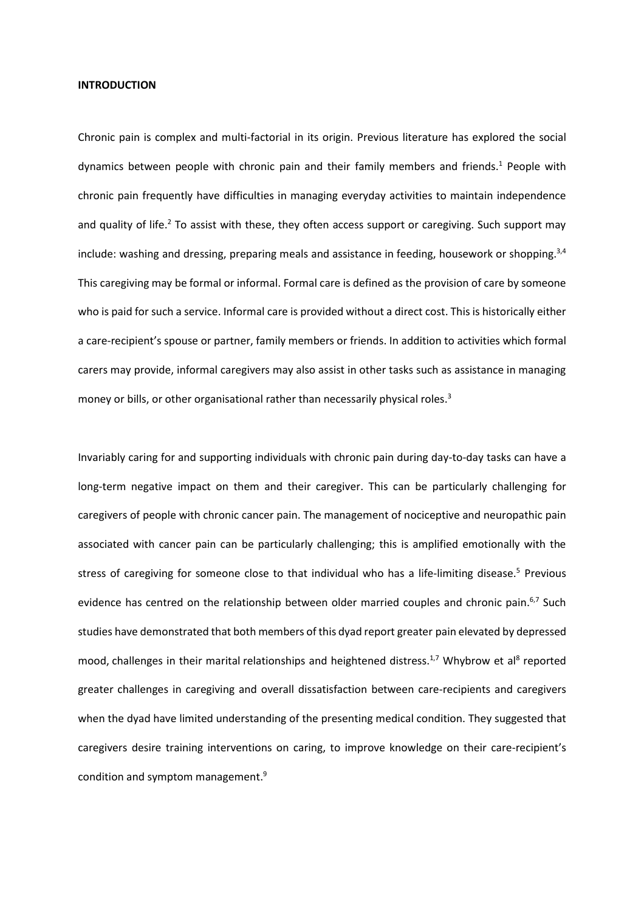#### **INTRODUCTION**

Chronic pain is complex and multi-factorial in its origin. Previous literature has explored the social dynamics between people with chronic pain and their family members and friends. <sup>1</sup> People with chronic pain frequently have difficulties in managing everyday activities to maintain independence and quality of life.<sup>2</sup> To assist with these, they often access support or caregiving. Such support may include: washing and dressing, preparing meals and assistance in feeding, housework or shopping.<sup>3,4</sup> This caregiving may be formal or informal. Formal care is defined as the provision of care by someone who is paid for such a service. Informal care is provided without a direct cost. This is historically either a care-recipient's spouse or partner, family members or friends. In addition to activities which formal carers may provide, informal caregivers may also assist in other tasks such as assistance in managing money or bills, or other organisational rather than necessarily physical roles.<sup>3</sup>

Invariably caring for and supporting individuals with chronic pain during day-to-day tasks can have a long-term negative impact on them and their caregiver. This can be particularly challenging for caregivers of people with chronic cancer pain. The management of nociceptive and neuropathic pain associated with cancer pain can be particularly challenging; this is amplified emotionally with the stress of caregiving for someone close to that individual who has a life-limiting disease.<sup>5</sup> Previous evidence has centred on the relationship between older married couples and chronic pain.<sup>6,7</sup> Such studies have demonstrated that both members of this dyad report greater pain elevated by depressed mood, challenges in their marital relationships and heightened distress.<sup>1,7</sup> Whybrow et al<sup>8</sup> reported greater challenges in caregiving and overall dissatisfaction between care-recipients and caregivers when the dyad have limited understanding of the presenting medical condition. They suggested that caregivers desire training interventions on caring, to improve knowledge on their care-recipient's condition and symptom management.<sup>9</sup>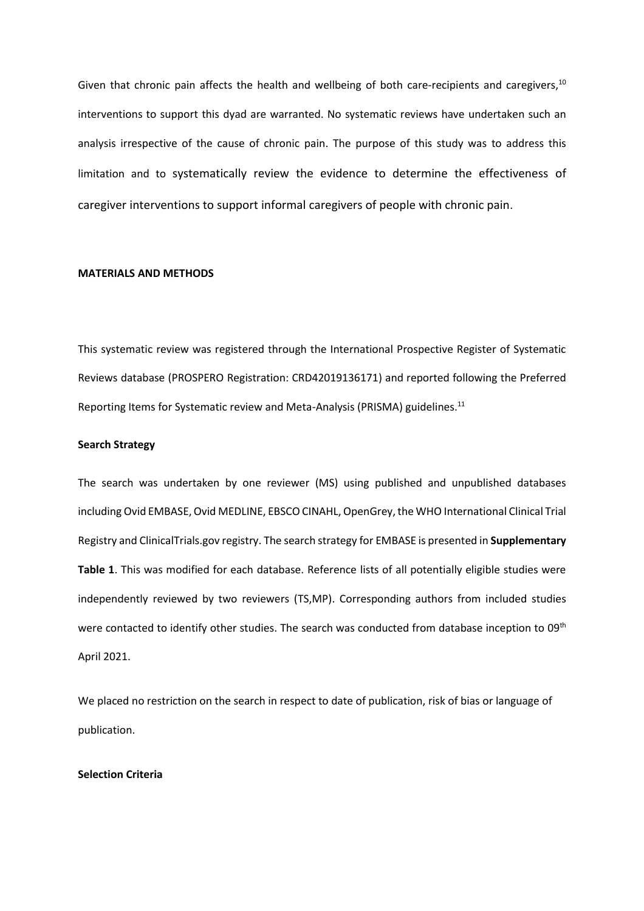Given that chronic pain affects the health and wellbeing of both care-recipients and caregivers,  $^{10}$ interventions to support this dyad are warranted. No systematic reviews have undertaken such an analysis irrespective of the cause of chronic pain. The purpose of this study was to address this limitation and to systematically review the evidence to determine the effectiveness of caregiver interventions to support informal caregivers of people with chronic pain.

#### **MATERIALS AND METHODS**

This systematic review was registered through the International Prospective Register of Systematic Reviews database (PROSPERO Registration: CRD42019136171) and reported following the Preferred Reporting Items for Systematic review and Meta-Analysis (PRISMA) guidelines.<sup>11</sup>

#### **Search Strategy**

The search was undertaken by one reviewer (MS) using published and unpublished databases including Ovid EMBASE, Ovid MEDLINE, EBSCO CINAHL, OpenGrey, the WHO International Clinical Trial Registry and ClinicalTrials.gov registry. The search strategy for EMBASE is presented in **Supplementary Table 1**. This was modified for each database. Reference lists of all potentially eligible studies were independently reviewed by two reviewers (TS,MP). Corresponding authors from included studies were contacted to identify other studies. The search was conducted from database inception to 09<sup>th</sup> April 2021.

We placed no restriction on the search in respect to date of publication, risk of bias or language of publication.

## **Selection Criteria**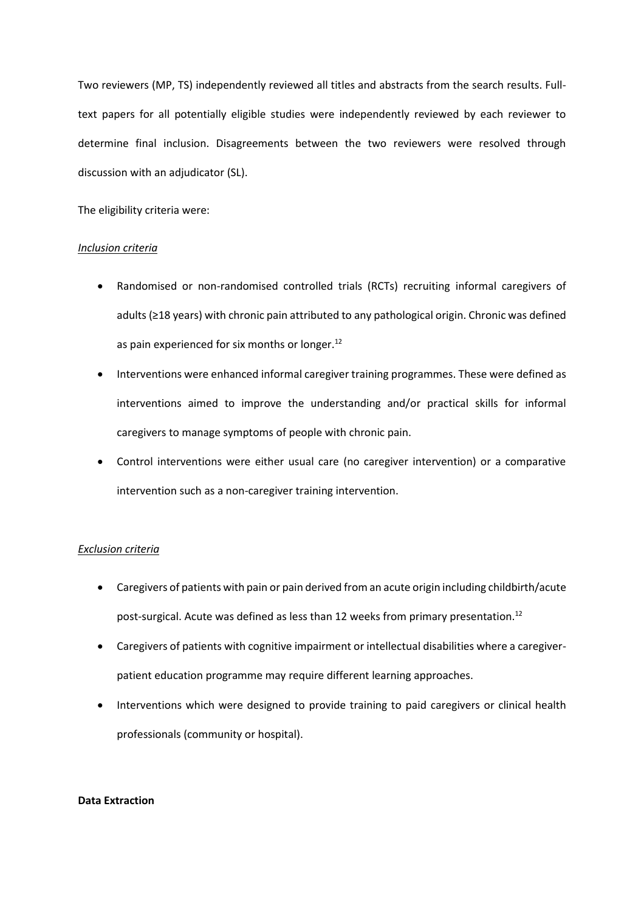Two reviewers (MP, TS) independently reviewed all titles and abstracts from the search results. Fulltext papers for all potentially eligible studies were independently reviewed by each reviewer to determine final inclusion. Disagreements between the two reviewers were resolved through discussion with an adjudicator (SL).

The eligibility criteria were:

# *Inclusion criteria*

- Randomised or non-randomised controlled trials (RCTs) recruiting informal caregivers of adults (≥18 years) with chronic pain attributed to any pathological origin. Chronic was defined as pain experienced for six months or longer.<sup>12</sup>
- Interventions were enhanced informal caregiver training programmes. These were defined as interventions aimed to improve the understanding and/or practical skills for informal caregivers to manage symptoms of people with chronic pain.
- Control interventions were either usual care (no caregiver intervention) or a comparative intervention such as a non-caregiver training intervention.

# *Exclusion criteria*

- Caregivers of patients with pain or pain derived from an acute origin including childbirth/acute post-surgical. Acute was defined as less than 12 weeks from primary presentation.<sup>12</sup>
- Caregivers of patients with cognitive impairment or intellectual disabilities where a caregiverpatient education programme may require different learning approaches.
- Interventions which were designed to provide training to paid caregivers or clinical health professionals (community or hospital).

# **Data Extraction**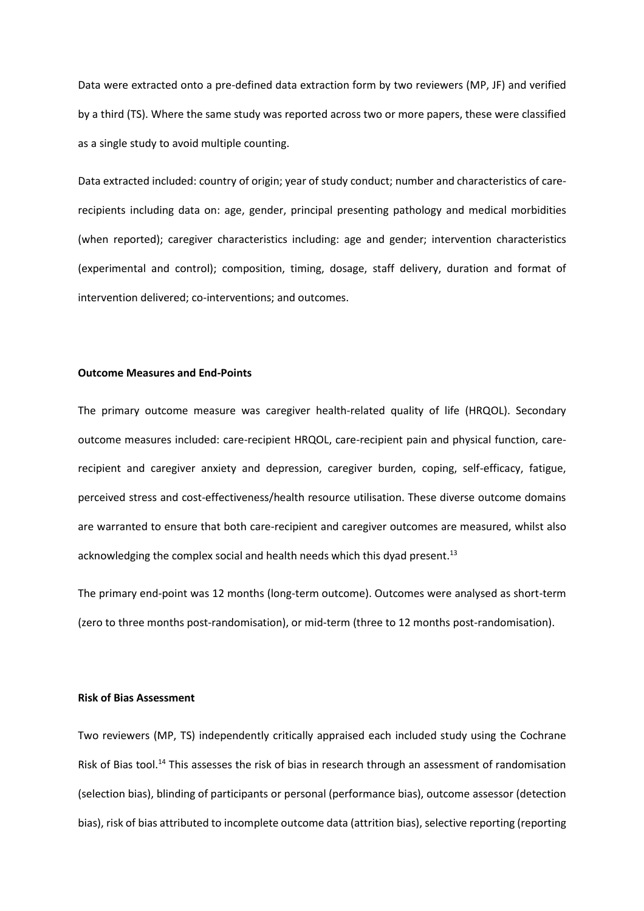Data were extracted onto a pre-defined data extraction form by two reviewers (MP, JF) and verified by a third (TS). Where the same study was reported across two or more papers, these were classified as a single study to avoid multiple counting.

Data extracted included: country of origin; year of study conduct; number and characteristics of carerecipients including data on: age, gender, principal presenting pathology and medical morbidities (when reported); caregiver characteristics including: age and gender; intervention characteristics (experimental and control); composition, timing, dosage, staff delivery, duration and format of intervention delivered; co-interventions; and outcomes.

## **Outcome Measures and End-Points**

The primary outcome measure was caregiver health-related quality of life (HRQOL). Secondary outcome measures included: care-recipient HRQOL, care-recipient pain and physical function, carerecipient and caregiver anxiety and depression, caregiver burden, coping, self-efficacy, fatigue, perceived stress and cost-effectiveness/health resource utilisation. These diverse outcome domains are warranted to ensure that both care-recipient and caregiver outcomes are measured, whilst also acknowledging the complex social and health needs which this dyad present. $^{13}$ 

The primary end-point was 12 months (long-term outcome). Outcomes were analysed as short-term (zero to three months post-randomisation), or mid-term (three to 12 months post-randomisation).

#### **Risk of Bias Assessment**

Two reviewers (MP, TS) independently critically appraised each included study using the Cochrane Risk of Bias tool.<sup>14</sup> This assesses the risk of bias in research through an assessment of randomisation (selection bias), blinding of participants or personal (performance bias), outcome assessor (detection bias), risk of bias attributed to incomplete outcome data (attrition bias), selective reporting (reporting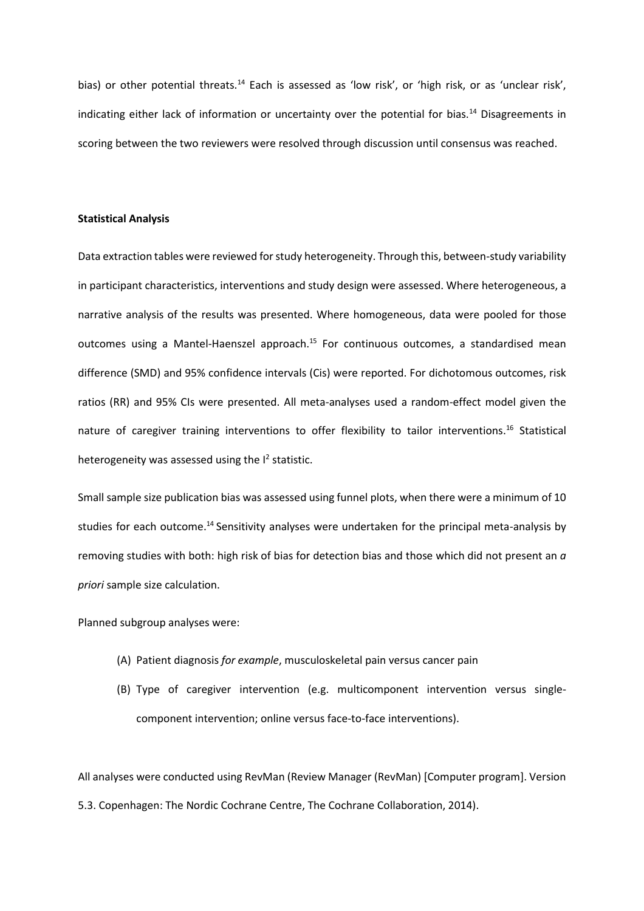bias) or other potential threats.<sup>14</sup> Each is assessed as 'low risk', or 'high risk, or as 'unclear risk', indicating either lack of information or uncertainty over the potential for bias.<sup>14</sup> Disagreements in scoring between the two reviewers were resolved through discussion until consensus was reached.

## **Statistical Analysis**

Data extraction tables were reviewed for study heterogeneity. Through this, between-study variability in participant characteristics, interventions and study design were assessed. Where heterogeneous, a narrative analysis of the results was presented. Where homogeneous, data were pooled for those outcomes using a Mantel-Haenszel approach.<sup>15</sup> For continuous outcomes, a standardised mean difference (SMD) and 95% confidence intervals (Cis) were reported. For dichotomous outcomes, risk ratios (RR) and 95% CIs were presented. All meta-analyses used a random-effect model given the nature of caregiver training interventions to offer flexibility to tailor interventions.<sup>16</sup> Statistical heterogeneity was assessed using the  $I^2$  statistic.

Small sample size publication bias was assessed using funnel plots, when there were a minimum of 10 studies for each outcome.<sup>14</sup> Sensitivity analyses were undertaken for the principal meta-analysis by removing studies with both: high risk of bias for detection bias and those which did not present an *a priori* sample size calculation.

Planned subgroup analyses were:

- (A) Patient diagnosis *for example*, musculoskeletal pain versus cancer pain
- (B) Type of caregiver intervention (e.g. multicomponent intervention versus singlecomponent intervention; online versus face-to-face interventions).

All analyses were conducted using RevMan (Review Manager (RevMan) [Computer program]. Version 5.3. Copenhagen: The Nordic Cochrane Centre, The Cochrane Collaboration, 2014).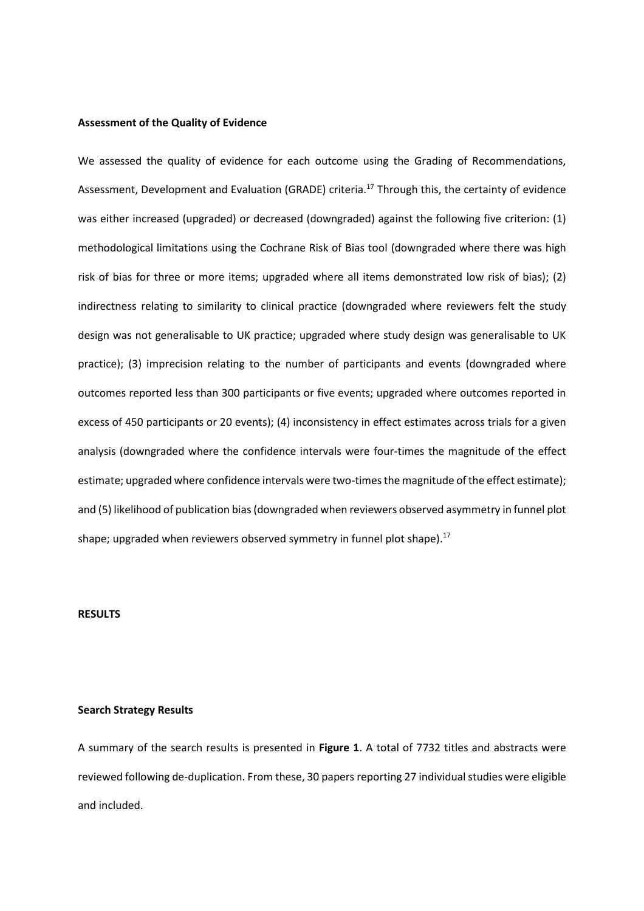#### **Assessment of the Quality of Evidence**

We assessed the quality of evidence for each outcome using the Grading of Recommendations, Assessment, Development and Evaluation (GRADE) criteria.<sup>17</sup> Through this, the certainty of evidence was either increased (upgraded) or decreased (downgraded) against the following five criterion: (1) methodological limitations using the Cochrane Risk of Bias tool (downgraded where there was high risk of bias for three or more items; upgraded where all items demonstrated low risk of bias); (2) indirectness relating to similarity to clinical practice (downgraded where reviewers felt the study design was not generalisable to UK practice; upgraded where study design was generalisable to UK practice); (3) imprecision relating to the number of participants and events (downgraded where outcomes reported less than 300 participants or five events; upgraded where outcomes reported in excess of 450 participants or 20 events); (4) inconsistency in effect estimates across trials for a given analysis (downgraded where the confidence intervals were four-times the magnitude of the effect estimate; upgraded where confidence intervals were two-times the magnitude of the effect estimate); and (5) likelihood of publication bias(downgraded when reviewers observed asymmetry in funnel plot shape; upgraded when reviewers observed symmetry in funnel plot shape). $^{17}$ 

#### **RESULTS**

#### **Search Strategy Results**

A summary of the search results is presented in **Figure 1**. A total of 7732 titles and abstracts were reviewed following de-duplication. From these, 30 papers reporting 27 individual studies were eligible and included.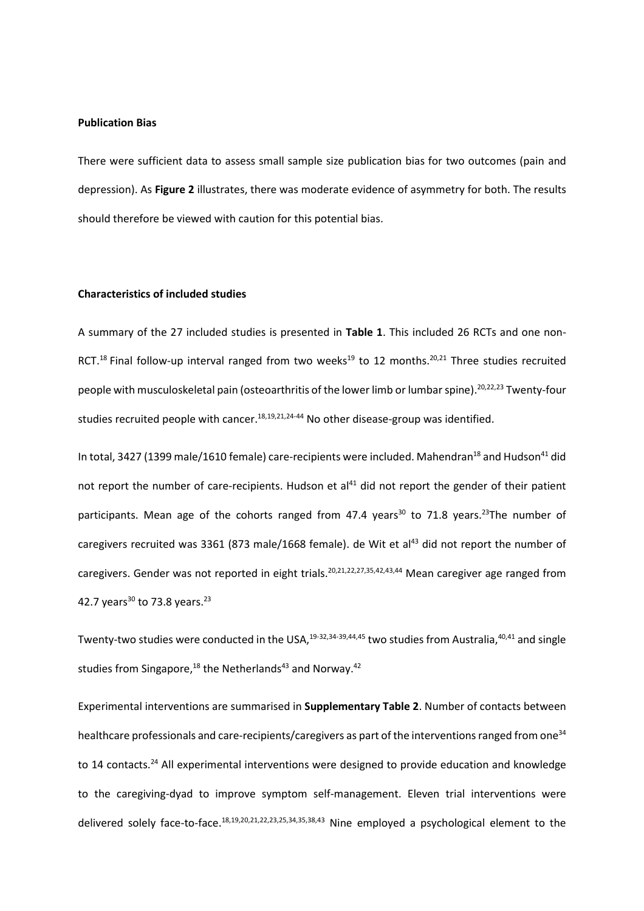#### **Publication Bias**

There were sufficient data to assess small sample size publication bias for two outcomes (pain and depression). As **Figure 2** illustrates, there was moderate evidence of asymmetry for both. The results should therefore be viewed with caution for this potential bias.

## **Characteristics of included studies**

A summary of the 27 included studies is presented in **Table 1**. This included 26 RCTs and one non-RCT.<sup>18</sup> Final follow-up interval ranged from two weeks<sup>19</sup> to 12 months.<sup>20,21</sup> Three studies recruited people with musculoskeletal pain (osteoarthritis of the lower limb or lumbar spine). 20,22,23 Twenty-four studies recruited people with cancer. 18,19,21,24-44 No other disease-group was identified.

In total, 3427 (1399 male/1610 female) care-recipients were included. Mahendran<sup>18</sup> and Hudson<sup>41</sup> did not report the number of care-recipients. Hudson et al<sup>41</sup> did not report the gender of their patient participants. Mean age of the cohorts ranged from 47.4 years<sup>30</sup> to 71.8 years.<sup>23</sup>The number of caregivers recruited was 3361 (873 male/1668 female). de Wit et al<sup>43</sup> did not report the number of caregivers. Gender was not reported in eight trials.<sup>20,21,22,27,35,42,43,44</sup> Mean caregiver age ranged from 42.7 years<sup>30</sup> to 73.8 years.<sup>23</sup>

Twenty-two studies were conducted in the USA,<sup>19-32,34-39,44,45</sup> two studies from Australia,<sup>40,41</sup> and single studies from Singapore,<sup>18</sup> the Netherlands<sup>43</sup> and Norway.<sup>42</sup>

Experimental interventions are summarised in **Supplementary Table 2**. Number of contacts between healthcare professionals and care-recipients/caregivers as part of the interventions ranged from one<sup>34</sup> to 14 contacts.<sup>24</sup> All experimental interventions were designed to provide education and knowledge to the caregiving-dyad to improve symptom self-management. Eleven trial interventions were delivered solely face-to-face.<sup>18,19,20,21,22,23,25,34,35,38,43</sup> Nine employed a psychological element to the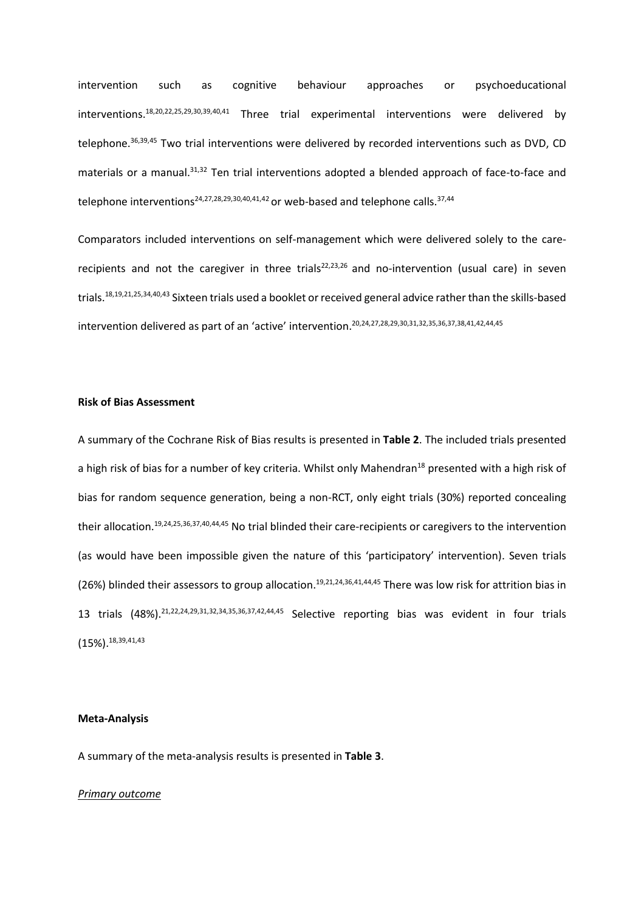intervention such as cognitive behaviour approaches or psychoeducational interventions. 18,20,22,25,29,30,39,40,41 Three trial experimental interventions were delivered by telephone. 36,39,45 Two trial interventions were delivered by recorded interventions such as DVD, CD materials or a manual.<sup>31,32</sup> Ten trial interventions adopted a blended approach of face-to-face and telephone interventions<sup>24,27,28,29,30,40,41,42</sup> or web-based and telephone calls.<sup>37,44</sup>

Comparators included interventions on self-management which were delivered solely to the carerecipients and not the caregiver in three trials<sup>22,23,26</sup> and no-intervention (usual care) in seven trials.<sup>18,19,21,25,34,40,43</sup> Sixteen trials used a booklet or received general advice rather than the skills-based intervention delivered as part of an 'active' intervention. 20,24,27,28,29,30,31,32,35,36,37,38,41,42,44,45

## **Risk of Bias Assessment**

A summary of the Cochrane Risk of Bias results is presented in **Table 2**. The included trials presented a high risk of bias for a number of key criteria. Whilst only Mahendran<sup>18</sup> presented with a high risk of bias for random sequence generation, being a non-RCT, only eight trials (30%) reported concealing their allocation. 19,24,25,36,37,40,44,45 No trial blinded their care-recipients or caregivers to the intervention (as would have been impossible given the nature of this 'participatory' intervention). Seven trials (26%) blinded their assessors to group allocation.<sup>19,21,24,36,41,44,45</sup> There was low risk for attrition bias in 13 trials (48%). 21,22,24,29,31,32,34,35,36,37,42,44,45 Selective reporting bias was evident in four trials  $(15\%)$ .  $^{18,39,41,43}$ 

## **Meta-Analysis**

A summary of the meta-analysis results is presented in **Table 3**.

#### *Primary outcome*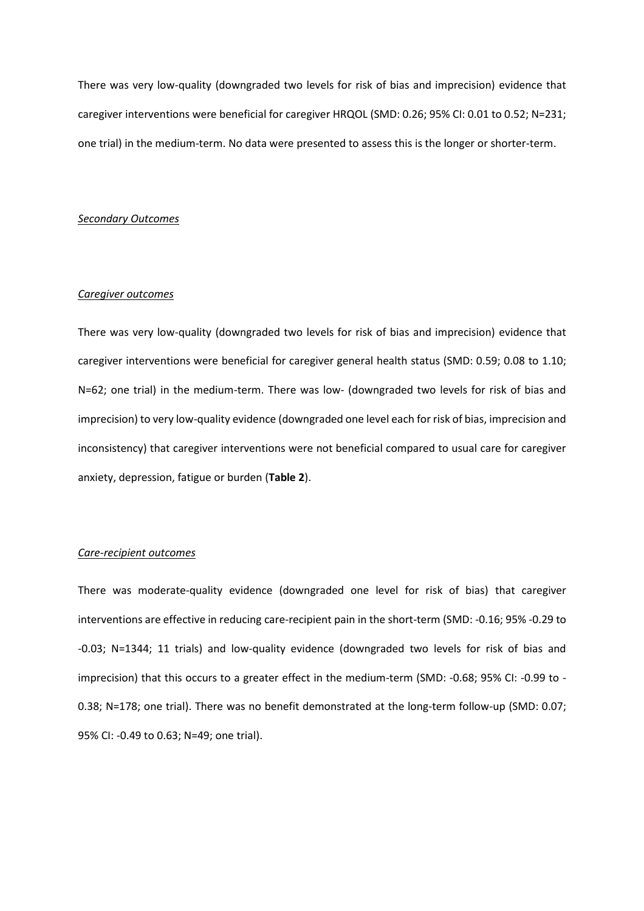There was very low-quality (downgraded two levels for risk of bias and imprecision) evidence that caregiver interventions were beneficial for caregiver HRQOL (SMD: 0.26; 95% CI: 0.01 to 0.52; N=231; one trial) in the medium-term. No data were presented to assess this is the longer or shorter-term.

### *Secondary Outcomes*

#### *Caregiver outcomes*

There was very low-quality (downgraded two levels for risk of bias and imprecision) evidence that caregiver interventions were beneficial for caregiver general health status (SMD: 0.59; 0.08 to 1.10; N=62; one trial) in the medium-term. There was low- (downgraded two levels for risk of bias and imprecision) to very low-quality evidence (downgraded one level each for risk of bias, imprecision and inconsistency) that caregiver interventions were not beneficial compared to usual care for caregiver anxiety, depression, fatigue or burden (**Table 2**).

## *Care-recipient outcomes*

There was moderate-quality evidence (downgraded one level for risk of bias) that caregiver interventions are effective in reducing care-recipient pain in the short-term (SMD: -0.16; 95% -0.29 to -0.03; N=1344; 11 trials) and low-quality evidence (downgraded two levels for risk of bias and imprecision) that this occurs to a greater effect in the medium-term (SMD: -0.68; 95% CI: -0.99 to - 0.38; N=178; one trial). There was no benefit demonstrated at the long-term follow-up (SMD: 0.07; 95% CI: -0.49 to 0.63; N=49; one trial).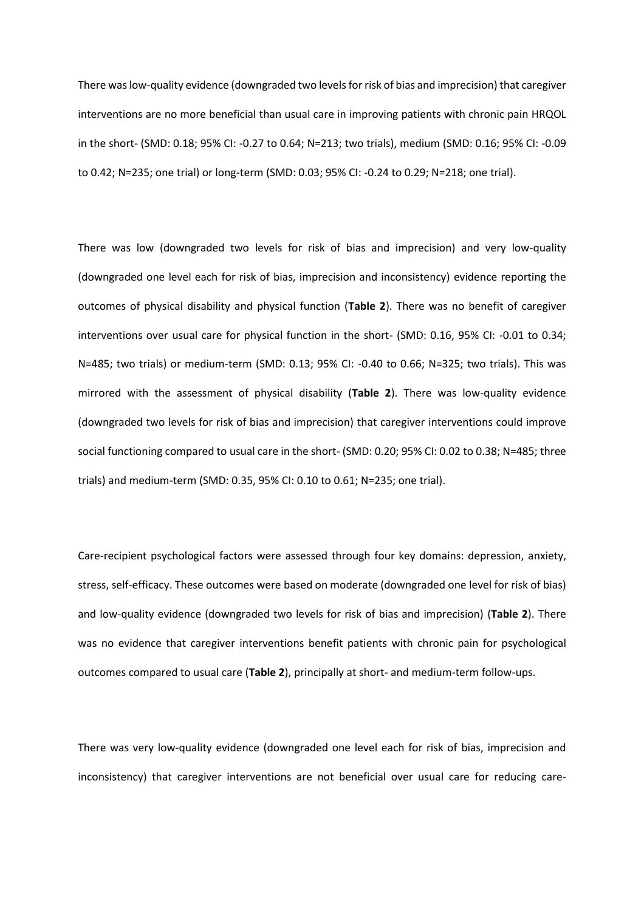There was low-quality evidence (downgraded two levels for risk of bias and imprecision) that caregiver interventions are no more beneficial than usual care in improving patients with chronic pain HRQOL in the short- (SMD: 0.18; 95% CI: -0.27 to 0.64; N=213; two trials), medium (SMD: 0.16; 95% CI: -0.09 to 0.42; N=235; one trial) or long-term (SMD: 0.03; 95% CI: -0.24 to 0.29; N=218; one trial).

There was low (downgraded two levels for risk of bias and imprecision) and very low-quality (downgraded one level each for risk of bias, imprecision and inconsistency) evidence reporting the outcomes of physical disability and physical function (**Table 2**). There was no benefit of caregiver interventions over usual care for physical function in the short- (SMD: 0.16, 95% CI: -0.01 to 0.34; N=485; two trials) or medium-term (SMD: 0.13; 95% CI: -0.40 to 0.66; N=325; two trials). This was mirrored with the assessment of physical disability (**Table 2**). There was low-quality evidence (downgraded two levels for risk of bias and imprecision) that caregiver interventions could improve social functioning compared to usual care in the short- (SMD: 0.20; 95% CI: 0.02 to 0.38; N=485; three trials) and medium-term (SMD: 0.35, 95% CI: 0.10 to 0.61; N=235; one trial).

Care-recipient psychological factors were assessed through four key domains: depression, anxiety, stress, self-efficacy. These outcomes were based on moderate (downgraded one level for risk of bias) and low-quality evidence (downgraded two levels for risk of bias and imprecision) (**Table 2**). There was no evidence that caregiver interventions benefit patients with chronic pain for psychological outcomes compared to usual care (**Table 2**), principally at short- and medium-term follow-ups.

There was very low-quality evidence (downgraded one level each for risk of bias, imprecision and inconsistency) that caregiver interventions are not beneficial over usual care for reducing care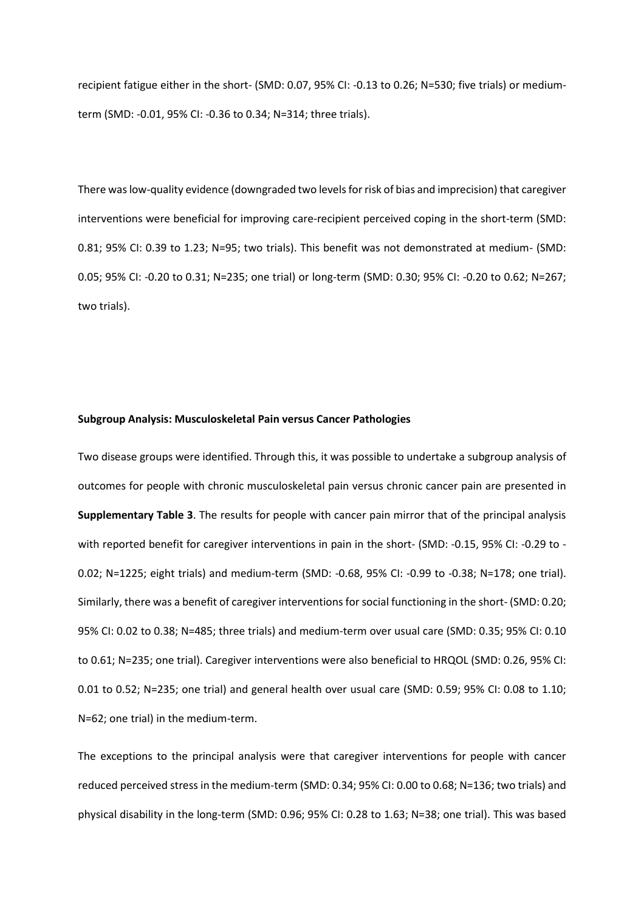recipient fatigue either in the short- (SMD: 0.07, 95% CI: -0.13 to 0.26; N=530; five trials) or mediumterm (SMD: -0.01, 95% CI: -0.36 to 0.34; N=314; three trials).

There was low-quality evidence (downgraded two levels for risk of bias and imprecision) that caregiver interventions were beneficial for improving care-recipient perceived coping in the short-term (SMD: 0.81; 95% CI: 0.39 to 1.23; N=95; two trials). This benefit was not demonstrated at medium- (SMD: 0.05; 95% CI: -0.20 to 0.31; N=235; one trial) or long-term (SMD: 0.30; 95% CI: -0.20 to 0.62; N=267; two trials).

## **Subgroup Analysis: Musculoskeletal Pain versus Cancer Pathologies**

Two disease groups were identified. Through this, it was possible to undertake a subgroup analysis of outcomes for people with chronic musculoskeletal pain versus chronic cancer pain are presented in **Supplementary Table 3**. The results for people with cancer pain mirror that of the principal analysis with reported benefit for caregiver interventions in pain in the short- (SMD: -0.15, 95% CI: -0.29 to - 0.02; N=1225; eight trials) and medium-term (SMD: -0.68, 95% CI: -0.99 to -0.38; N=178; one trial). Similarly, there was a benefit of caregiver interventions for social functioning in the short- (SMD: 0.20; 95% CI: 0.02 to 0.38; N=485; three trials) and medium-term over usual care (SMD: 0.35; 95% CI: 0.10 to 0.61; N=235; one trial). Caregiver interventions were also beneficial to HRQOL (SMD: 0.26, 95% CI: 0.01 to 0.52; N=235; one trial) and general health over usual care (SMD: 0.59; 95% CI: 0.08 to 1.10; N=62; one trial) in the medium-term.

The exceptions to the principal analysis were that caregiver interventions for people with cancer reduced perceived stress in the medium-term (SMD: 0.34; 95% CI: 0.00 to 0.68; N=136; two trials) and physical disability in the long-term (SMD: 0.96; 95% CI: 0.28 to 1.63; N=38; one trial). This was based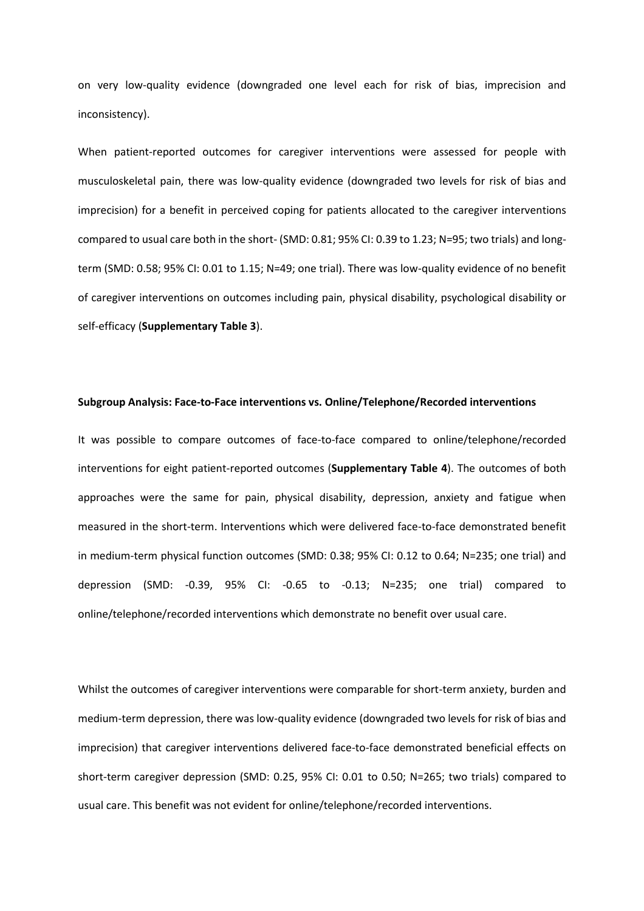on very low-quality evidence (downgraded one level each for risk of bias, imprecision and inconsistency).

When patient-reported outcomes for caregiver interventions were assessed for people with musculoskeletal pain, there was low-quality evidence (downgraded two levels for risk of bias and imprecision) for a benefit in perceived coping for patients allocated to the caregiver interventions compared to usual care both in the short- (SMD: 0.81; 95% CI: 0.39 to 1.23; N=95; two trials) and longterm (SMD: 0.58; 95% CI: 0.01 to 1.15; N=49; one trial). There was low-quality evidence of no benefit of caregiver interventions on outcomes including pain, physical disability, psychological disability or self-efficacy (**Supplementary Table 3**).

#### **Subgroup Analysis: Face-to-Face interventions vs. Online/Telephone/Recorded interventions**

It was possible to compare outcomes of face-to-face compared to online/telephone/recorded interventions for eight patient-reported outcomes (**Supplementary Table 4**). The outcomes of both approaches were the same for pain, physical disability, depression, anxiety and fatigue when measured in the short-term. Interventions which were delivered face-to-face demonstrated benefit in medium-term physical function outcomes (SMD: 0.38; 95% CI: 0.12 to 0.64; N=235; one trial) and depression (SMD: -0.39, 95% CI: -0.65 to -0.13; N=235; one trial) compared to online/telephone/recorded interventions which demonstrate no benefit over usual care.

Whilst the outcomes of caregiver interventions were comparable for short-term anxiety, burden and medium-term depression, there was low-quality evidence (downgraded two levels for risk of bias and imprecision) that caregiver interventions delivered face-to-face demonstrated beneficial effects on short-term caregiver depression (SMD: 0.25, 95% CI: 0.01 to 0.50; N=265; two trials) compared to usual care. This benefit was not evident for online/telephone/recorded interventions.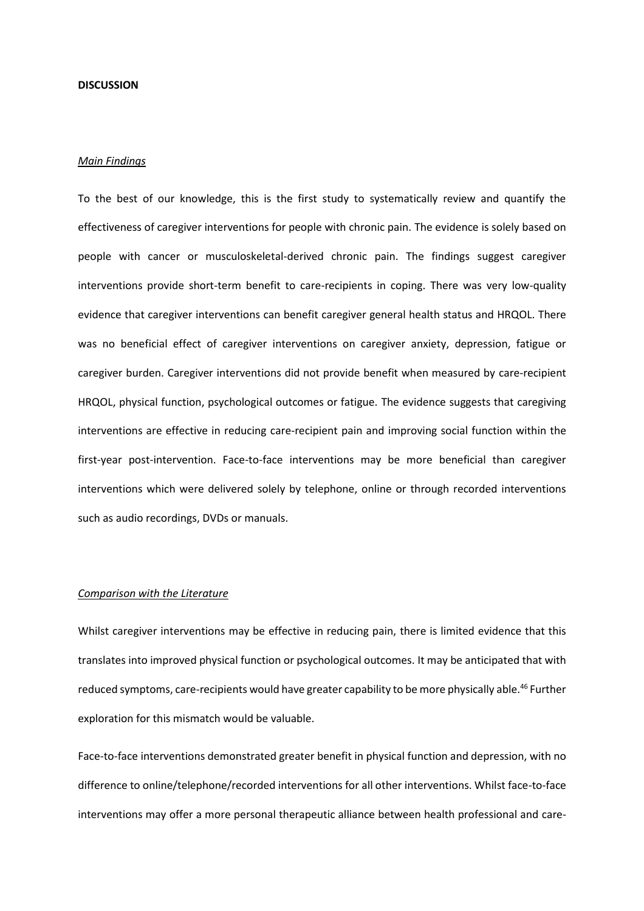#### **DISCUSSION**

## *Main Findings*

To the best of our knowledge, this is the first study to systematically review and quantify the effectiveness of caregiver interventions for people with chronic pain. The evidence is solely based on people with cancer or musculoskeletal-derived chronic pain. The findings suggest caregiver interventions provide short-term benefit to care-recipients in coping. There was very low-quality evidence that caregiver interventions can benefit caregiver general health status and HRQOL. There was no beneficial effect of caregiver interventions on caregiver anxiety, depression, fatigue or caregiver burden. Caregiver interventions did not provide benefit when measured by care-recipient HRQOL, physical function, psychological outcomes or fatigue. The evidence suggests that caregiving interventions are effective in reducing care-recipient pain and improving social function within the first-year post-intervention. Face-to-face interventions may be more beneficial than caregiver interventions which were delivered solely by telephone, online or through recorded interventions such as audio recordings, DVDs or manuals.

#### *Comparison with the Literature*

Whilst caregiver interventions may be effective in reducing pain, there is limited evidence that this translates into improved physical function or psychological outcomes. It may be anticipated that with reduced symptoms, care-recipients would have greater capability to be more physically able. 46 Further exploration for this mismatch would be valuable.

Face-to-face interventions demonstrated greater benefit in physical function and depression, with no difference to online/telephone/recorded interventions for all other interventions. Whilst face-to-face interventions may offer a more personal therapeutic alliance between health professional and care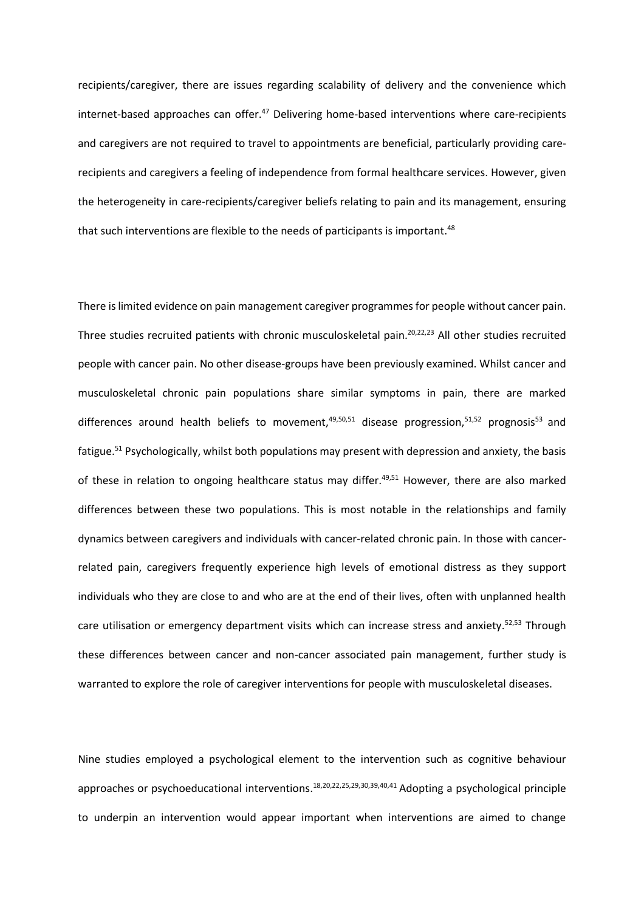recipients/caregiver, there are issues regarding scalability of delivery and the convenience which internet-based approaches can offer.<sup>47</sup> Delivering home-based interventions where care-recipients and caregivers are not required to travel to appointments are beneficial, particularly providing carerecipients and caregivers a feeling of independence from formal healthcare services. However, given the heterogeneity in care-recipients/caregiver beliefs relating to pain and its management, ensuring that such interventions are flexible to the needs of participants is important. 48

There is limited evidence on pain management caregiver programmes for people without cancer pain. Three studies recruited patients with chronic musculoskeletal pain. 20,22,23 All other studies recruited people with cancer pain. No other disease-groups have been previously examined. Whilst cancer and musculoskeletal chronic pain populations share similar symptoms in pain, there are marked differences around health beliefs to movement,<sup>49,50,51</sup> disease progression,<sup>51,52</sup> prognosis<sup>53</sup> and fatigue. <sup>51</sup> Psychologically, whilst both populations may present with depression and anxiety, the basis of these in relation to ongoing healthcare status may differ.<sup>49,51</sup> However, there are also marked differences between these two populations. This is most notable in the relationships and family dynamics between caregivers and individuals with cancer-related chronic pain. In those with cancerrelated pain, caregivers frequently experience high levels of emotional distress as they support individuals who they are close to and who are at the end of their lives, often with unplanned health care utilisation or emergency department visits which can increase stress and anxiety.<sup>52,53</sup> Through these differences between cancer and non-cancer associated pain management, further study is warranted to explore the role of caregiver interventions for people with musculoskeletal diseases.

Nine studies employed a psychological element to the intervention such as cognitive behaviour approaches or psychoeducational interventions. 18,20,22,25,29,30,39,40,41 Adopting a psychological principle to underpin an intervention would appear important when interventions are aimed to change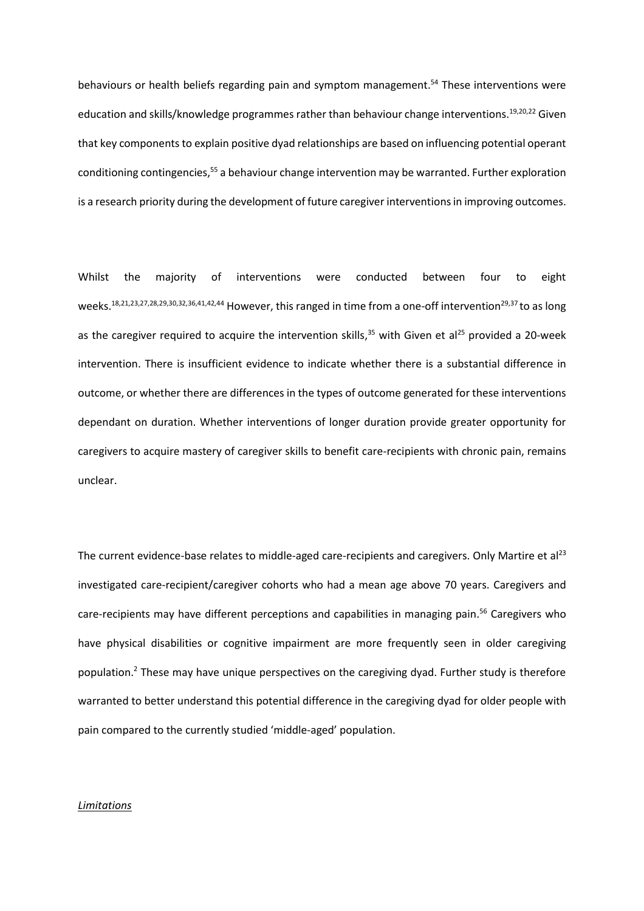behaviours or health beliefs regarding pain and symptom management. <sup>54</sup> These interventions were education and skills/knowledge programmes rather than behaviour change interventions.<sup>19,20,22</sup> Given that key components to explain positive dyad relationships are based on influencing potential operant conditioning contingencies, <sup>55</sup> a behaviour change intervention may be warranted. Further exploration is a research priority during the development of future caregiver interventions in improving outcomes.

Whilst the majority of interventions were conducted between four to eight weeks. 18,21,23,27,28,29,30,32,36,41,42,44 However, this ranged in time from a one-off intervention29,37 to as long as the caregiver required to acquire the intervention skills,<sup>35</sup> with Given et al<sup>25</sup> provided a 20-week intervention. There is insufficient evidence to indicate whether there is a substantial difference in outcome, or whether there are differences in the types of outcome generated for these interventions dependant on duration. Whether interventions of longer duration provide greater opportunity for caregivers to acquire mastery of caregiver skills to benefit care-recipients with chronic pain, remains unclear.

The current evidence-base relates to middle-aged care-recipients and caregivers. Only Martire et al<sup>23</sup> investigated care-recipient/caregiver cohorts who had a mean age above 70 years. Caregivers and care-recipients may have different perceptions and capabilities in managing pain. <sup>56</sup> Caregivers who have physical disabilities or cognitive impairment are more frequently seen in older caregiving population.<sup>2</sup> These may have unique perspectives on the caregiving dyad. Further study is therefore warranted to better understand this potential difference in the caregiving dyad for older people with pain compared to the currently studied 'middle-aged' population.

#### *Limitations*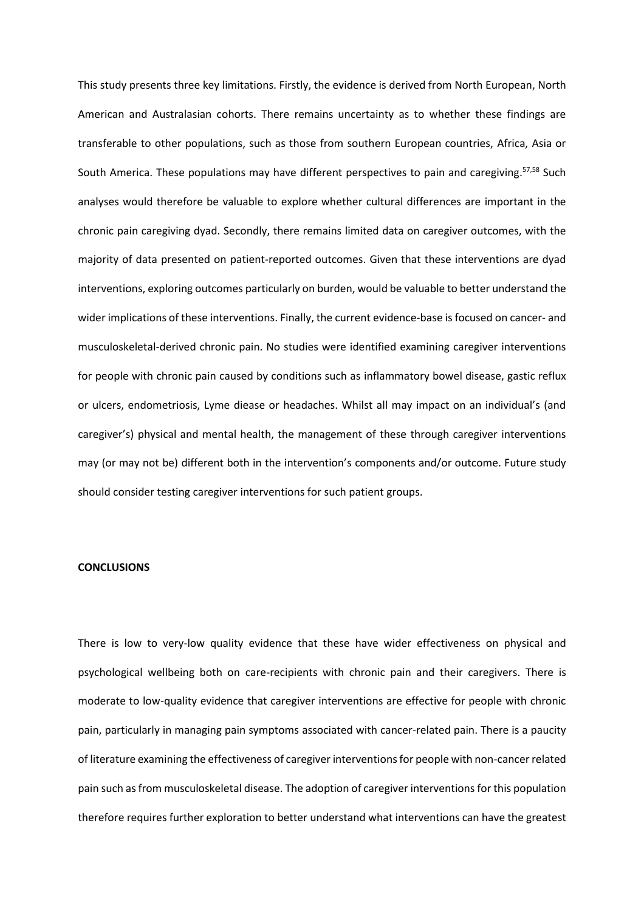This study presents three key limitations. Firstly, the evidence is derived from North European, North American and Australasian cohorts. There remains uncertainty as to whether these findings are transferable to other populations, such as those from southern European countries, Africa, Asia or South America. These populations may have different perspectives to pain and caregiving.<sup>57,58</sup> Such analyses would therefore be valuable to explore whether cultural differences are important in the chronic pain caregiving dyad. Secondly, there remains limited data on caregiver outcomes, with the majority of data presented on patient-reported outcomes. Given that these interventions are dyad interventions, exploring outcomes particularly on burden, would be valuable to better understand the wider implications of these interventions. Finally, the current evidence-base is focused on cancer- and musculoskeletal-derived chronic pain. No studies were identified examining caregiver interventions for people with chronic pain caused by conditions such as inflammatory bowel disease, gastic reflux or ulcers, endometriosis, Lyme diease or headaches. Whilst all may impact on an individual's (and caregiver's) physical and mental health, the management of these through caregiver interventions may (or may not be) different both in the intervention's components and/or outcome. Future study should consider testing caregiver interventions for such patient groups.

## **CONCLUSIONS**

There is low to very-low quality evidence that these have wider effectiveness on physical and psychological wellbeing both on care-recipients with chronic pain and their caregivers. There is moderate to low-quality evidence that caregiver interventions are effective for people with chronic pain, particularly in managing pain symptoms associated with cancer-related pain. There is a paucity of literature examining the effectiveness of caregiver interventions for people with non-cancer related pain such as from musculoskeletal disease. The adoption of caregiver interventions for this population therefore requires further exploration to better understand what interventions can have the greatest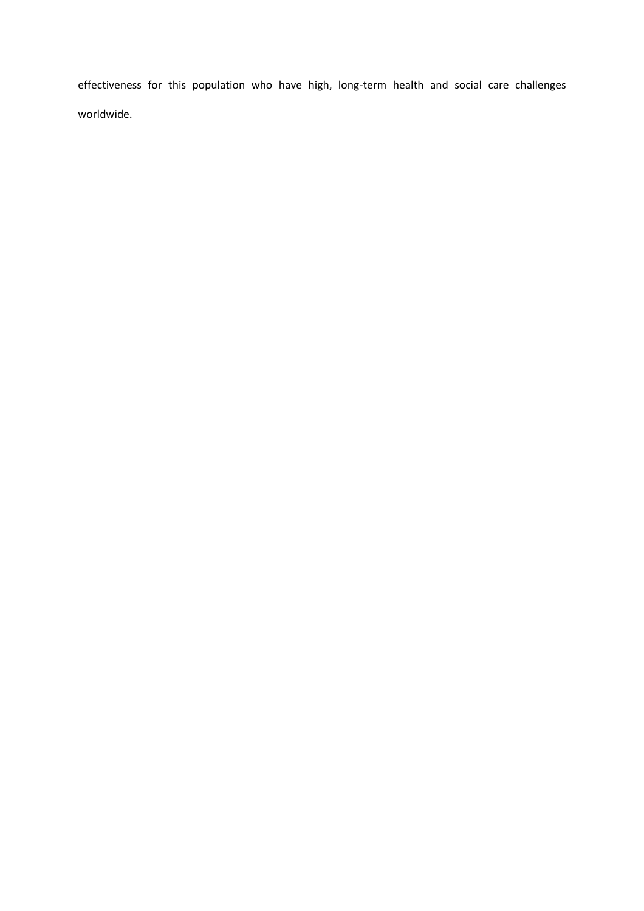effectiveness for this population who have high, long-term health and social care challenges worldwide.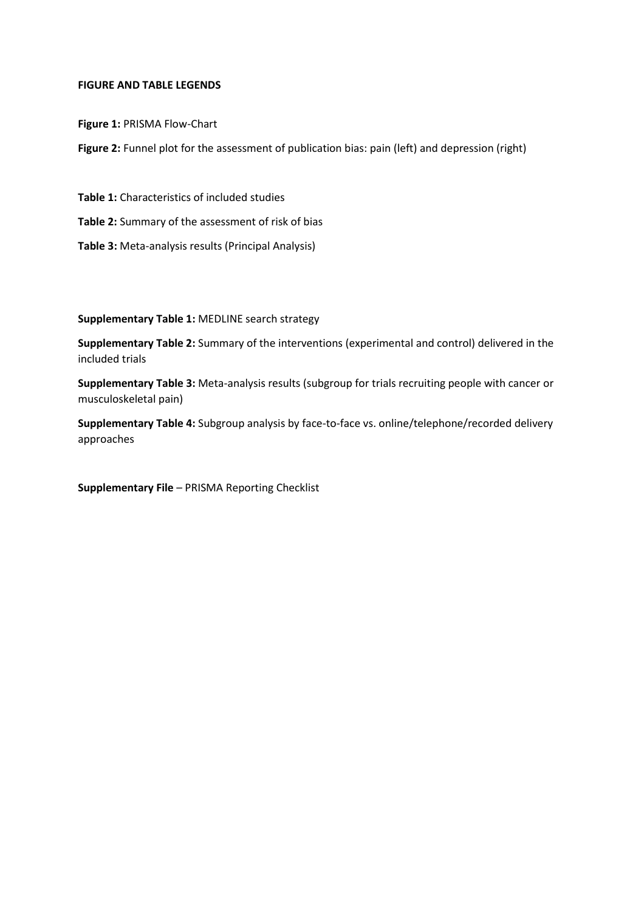## **FIGURE AND TABLE LEGENDS**

**Figure 1:** PRISMA Flow-Chart

Figure 2: Funnel plot for the assessment of publication bias: pain (left) and depression (right)

**Table 1:** Characteristics of included studies

**Table 2:** Summary of the assessment of risk of bias

**Table 3:** Meta-analysis results (Principal Analysis)

**Supplementary Table 1:** MEDLINE search strategy

**Supplementary Table 2:** Summary of the interventions (experimental and control) delivered in the included trials

**Supplementary Table 3:** Meta-analysis results (subgroup for trials recruiting people with cancer or musculoskeletal pain)

**Supplementary Table 4:** Subgroup analysis by face-to-face vs. online/telephone/recorded delivery approaches

**Supplementary File** – PRISMA Reporting Checklist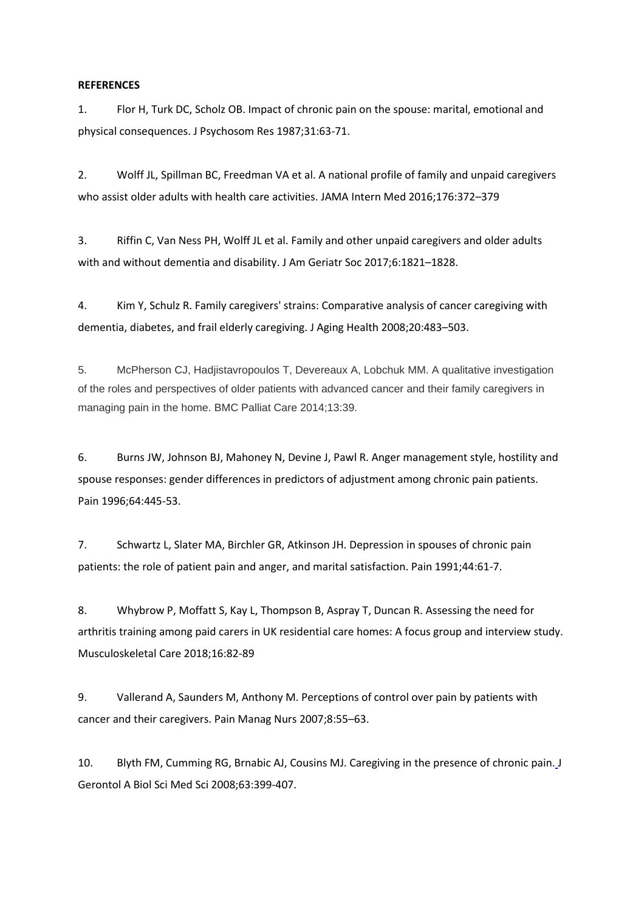## **REFERENCES**

1. Flor H, Turk DC, Scholz OB. Impact of chronic pain on the spouse: marital, emotional and physical consequences. J Psychosom Res 1987;31:63-71.

2. Wolff JL, Spillman BC, Freedman VA et al. A national profile of family and unpaid caregivers who assist older adults with health care activities. JAMA Intern Med 2016;176:372–379

3. Riffin C, Van Ness PH, Wolff JL et al. Family and other unpaid caregivers and older adults with and without dementia and disability. J Am Geriatr Soc 2017;6:1821–1828.

4. Kim Y, Schulz R. Family caregivers' strains: Comparative analysis of cancer caregiving with dementia, diabetes, and frail elderly caregiving. J Aging Health 2008;20:483–503.

5. McPherson CJ, Hadjistavropoulos T, Devereaux A, Lobchuk MM. A qualitative investigation of the roles and perspectives of older patients with advanced cancer and their family caregivers in managing pain in the home. BMC Palliat Care 2014;13:39.

6. Burns JW, Johnson BJ, Mahoney N, Devine J, Pawl R. Anger management style, hostility and spouse responses: gender differences in predictors of adjustment among chronic pain patients. Pain 1996;64:445-53.

7. Schwartz L, Slater MA, Birchler GR, Atkinson JH. Depression in spouses of chronic pain patients: the role of patient pain and anger, and marital satisfaction. Pain 1991;44:61-7.

8. Whybrow P, Moffatt S, Kay L, Thompson B, Aspray T, Duncan R. Assessing the need for arthritis training among paid carers in UK residential care homes: A focus group and interview study. Musculoskeletal Care 2018;16:82-89

9. Vallerand A, Saunders M, Anthony M. Perceptions of control over pain by patients with cancer and their caregivers. Pain Manag Nurs 2007;8:55–63.

10. Blyth FM, Cumming RG, Brnabic AJ, Cousins MJ. Caregiving in the presence of chronic pain. J Gerontol A Biol Sci Med Sci 2008;63:399-407.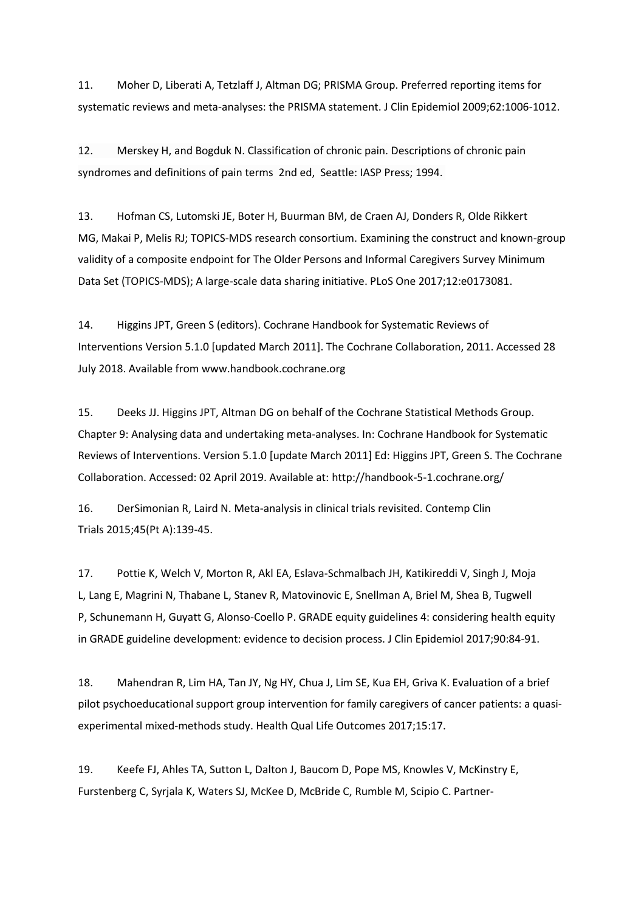11. Moher D, Liberati A, Tetzlaff J, Altman DG; PRISMA Group. Preferred reporting items for systematic reviews and meta-analyses: the PRISMA statement. J Clin Epidemiol 2009;62:1006-1012.

12. Merskey H, and Bogduk N. Classification of chronic pain. Descriptions of chronic pain syndromes and definitions of pain terms 2nd ed, Seattle: IASP Press; 1994.

13. Hofman CS, Lutomski JE, Boter H, Buurman BM, de Craen AJ, Donders R, Olde Rikkert MG, Makai P, Melis RJ; TOPICS-MDS research consortium. Examining the construct and known-group validity of a composite endpoint for The Older Persons and Informal Caregivers Survey Minimum Data Set (TOPICS-MDS); A large-scale data sharing initiative. PLoS One 2017;12:e0173081.

14. Higgins JPT, Green S (editors). Cochrane Handbook for Systematic Reviews of Interventions Version 5.1.0 [updated March 2011]. The Cochrane Collaboration, 2011. Accessed 28 July 2018. Available from www.handbook.cochrane.org

15. Deeks JJ. Higgins JPT, Altman DG on behalf of the Cochrane Statistical Methods Group. Chapter 9: Analysing data and undertaking meta-analyses. In: Cochrane Handbook for Systematic Reviews of Interventions. Version 5.1.0 [update March 2011] Ed: Higgins JPT, Green S. The Cochrane Collaboration. Accessed: 02 April 2019. Available at: http://handbook-5-1.cochrane.org/

16. DerSimonian R, Laird N. Meta-analysis in clinical trials revisited. Contemp Clin Trials 2015;45(Pt A):139-45.

17. Pottie K, Welch V, Morton R, Akl EA, Eslava-Schmalbach JH, Katikireddi V, Singh J, Moja L, Lang E, Magrini N, Thabane L, Stanev R, Matovinovic E, Snellman A, Briel M, Shea B, Tugwell P, Schunemann H, Guyatt G, Alonso-Coello P. GRADE equity guidelines 4: considering health equity in GRADE guideline development: evidence to decision process. J Clin Epidemiol 2017;90:84-91.

18. Mahendran R, Lim HA, Tan JY, Ng HY, Chua J, Lim SE, Kua EH, Griva K. Evaluation of a brief pilot psychoeducational support group intervention for family caregivers of cancer patients: a quasiexperimental mixed-methods study. Health Qual Life Outcomes 2017;15:17.

19. Keefe FJ, Ahles TA, Sutton L, Dalton J, Baucom D, Pope MS, Knowles V, McKinstry E, Furstenberg C, Syrjala K, Waters SJ, McKee D, McBride C, Rumble M, Scipio C. Partner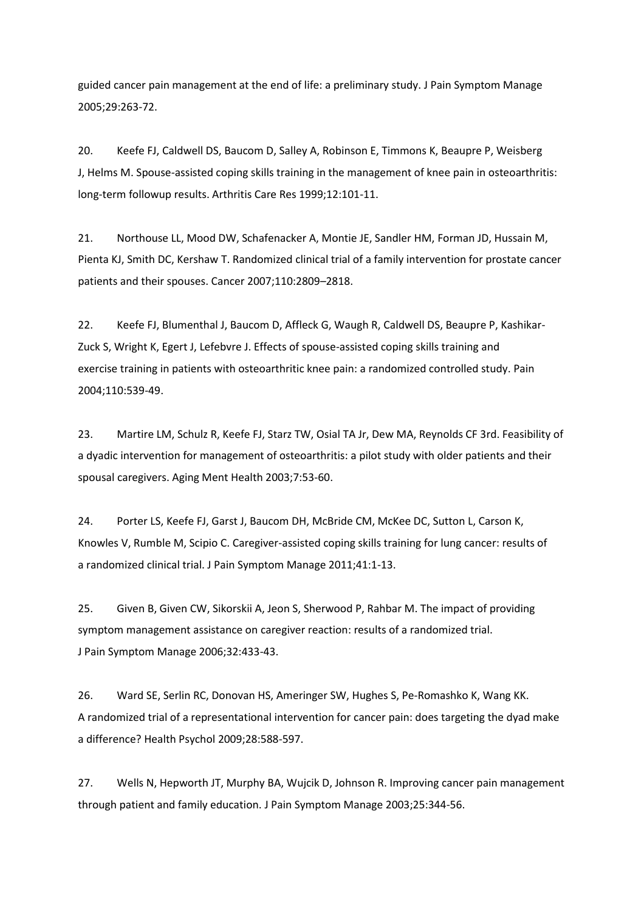guided cancer pain management at the end of life: a preliminary study. J Pain Symptom Manage 2005;29:263-72.

20. [Keefe FJ,](https://www.ncbi.nlm.nih.gov/pubmed/?term=Keefe%20FJ%5BAuthor%5D&cauthor=true&cauthor_uid=10513498) [Caldwell DS,](https://www.ncbi.nlm.nih.gov/pubmed/?term=Caldwell%20DS%5BAuthor%5D&cauthor=true&cauthor_uid=10513498) [Baucom D,](https://www.ncbi.nlm.nih.gov/pubmed/?term=Baucom%20D%5BAuthor%5D&cauthor=true&cauthor_uid=10513498) [Salley A,](https://www.ncbi.nlm.nih.gov/pubmed/?term=Salley%20A%5BAuthor%5D&cauthor=true&cauthor_uid=10513498) [Robinson E,](https://www.ncbi.nlm.nih.gov/pubmed/?term=Robinson%20E%5BAuthor%5D&cauthor=true&cauthor_uid=10513498) [Timmons K,](https://www.ncbi.nlm.nih.gov/pubmed/?term=Timmons%20K%5BAuthor%5D&cauthor=true&cauthor_uid=10513498) [Beaupre P,](https://www.ncbi.nlm.nih.gov/pubmed/?term=Beaupre%20P%5BAuthor%5D&cauthor=true&cauthor_uid=10513498) [Weisberg](https://www.ncbi.nlm.nih.gov/pubmed/?term=Weisberg%20J%5BAuthor%5D&cauthor=true&cauthor_uid=10513498)  [J,](https://www.ncbi.nlm.nih.gov/pubmed/?term=Weisberg%20J%5BAuthor%5D&cauthor=true&cauthor_uid=10513498) [Helms M.](https://www.ncbi.nlm.nih.gov/pubmed/?term=Helms%20M%5BAuthor%5D&cauthor=true&cauthor_uid=10513498) Spouse-assisted coping skills training in the management of knee pain in osteoarthritis: long-term followup results. Arthritis Care Res 1999;12:101-11.

21. Northouse LL, Mood DW, Schafenacker A, Montie JE, Sandler HM, Forman JD, Hussain M, Pienta KJ, Smith DC, Kershaw T. Randomized clinical trial of a family intervention for prostate cancer patients and their spouses. Cancer 2007;110:2809–2818.

22. Keefe FJ, Blumenthal J, Baucom D, Affleck G, Waugh R, Caldwell DS, Beaupre P, Kashikar-Zuck S, Wright K, Egert J, Lefebvre J. Effects of spouse-assisted coping skills training and exercise training in patients with osteoarthritic knee pain: a randomized controlled study. Pain 2004;110:539-49.

23. Martire LM, Schulz R, Keefe FJ, Starz TW, Osial TA Jr, Dew MA, Reynolds CF 3rd. Feasibility of a dyadic intervention for management of osteoarthritis: a pilot study with older patients and their spousal caregivers. Aging Ment Health 2003;7:53-60.

24. Porter LS, Keefe FJ, Garst J, Baucom DH, McBride CM, McKee DC, Sutton L, Carson K, Knowles V, Rumble M, Scipio C. Caregiver-assisted coping skills training for lung cancer: results of a randomized clinical trial. J Pain Symptom Manage 2011;41:1-13.

25. Given B, Given CW, Sikorskii A, Jeon S, Sherwood P, Rahbar M. The impact of providing symptom management assistance on caregiver reaction: results of a randomized trial. J Pain Symptom Manage 2006;32:433-43.

26. Ward SE, Serlin RC, Donovan HS, Ameringer SW, Hughes S, Pe-Romashko K, Wang KK. A randomized trial of a representational intervention for cancer pain: does targeting the dyad make a difference? Health Psychol 2009;28:588-597.

27. Wells N, Hepworth JT, Murphy BA, Wujcik D, Johnson R. Improving cancer pain management through patient and family education. J Pain Symptom Manage 2003;25:344-56.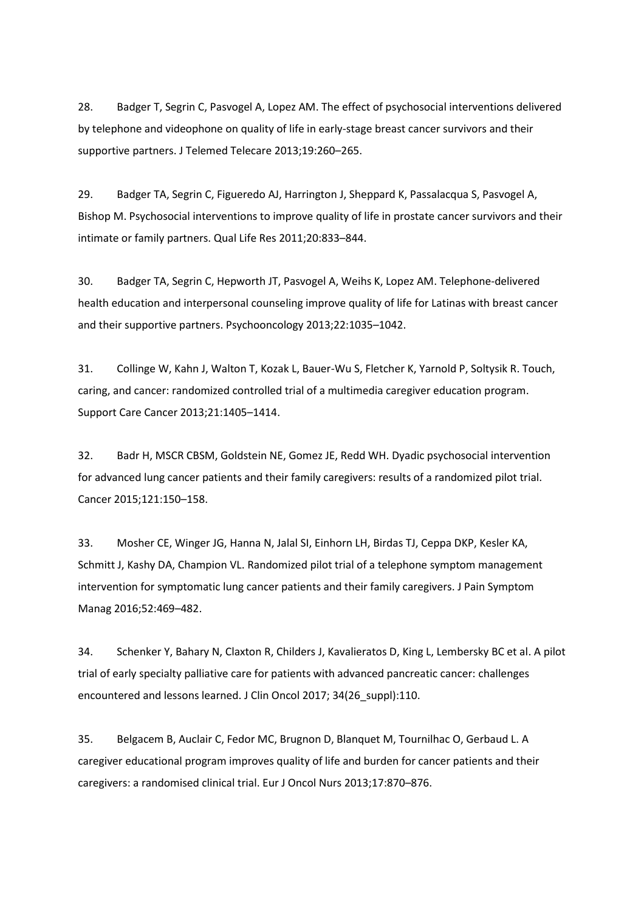28. Badger T, Segrin C, Pasvogel A, Lopez AM. The effect of psychosocial interventions delivered by telephone and videophone on quality of life in early-stage breast cancer survivors and their supportive partners. J Telemed Telecare 2013;19:260–265.

29. Badger TA, Segrin C, Figueredo AJ, Harrington J, Sheppard K, Passalacqua S, Pasvogel A, Bishop M. Psychosocial interventions to improve quality of life in prostate cancer survivors and their intimate or family partners. Qual Life Res 2011;20:833–844.

30. Badger TA, Segrin C, Hepworth JT, Pasvogel A, Weihs K, Lopez AM. Telephone-delivered health education and interpersonal counseling improve quality of life for Latinas with breast cancer and their supportive partners. Psychooncology 2013;22:1035–1042.

31. Collinge W, Kahn J, Walton T, Kozak L, Bauer-Wu S, Fletcher K, Yarnold P, Soltysik R. Touch, caring, and cancer: randomized controlled trial of a multimedia caregiver education program. Support Care Cancer 2013;21:1405–1414.

32. Badr H, MSCR CBSM, Goldstein NE, Gomez JE, Redd WH. Dyadic psychosocial intervention for advanced lung cancer patients and their family caregivers: results of a randomized pilot trial. Cancer 2015;121:150–158.

33. Mosher CE, Winger JG, Hanna N, Jalal SI, Einhorn LH, Birdas TJ, Ceppa DKP, Kesler KA, Schmitt J, Kashy DA, Champion VL. Randomized pilot trial of a telephone symptom management intervention for symptomatic lung cancer patients and their family caregivers. J Pain Symptom Manag 2016;52:469–482.

34. Schenker Y, Bahary N, Claxton R, Childers J, Kavalieratos D, King L, Lembersky BC et al. A pilot trial of early specialty palliative care for patients with advanced pancreatic cancer: challenges encountered and lessons learned. J Clin Oncol 2017; 34(26 suppl):110.

35. Belgacem B, Auclair C, Fedor MC, Brugnon D, Blanquet M, Tournilhac O, Gerbaud L. A caregiver educational program improves quality of life and burden for cancer patients and their caregivers: a randomised clinical trial. Eur J Oncol Nurs 2013;17:870–876.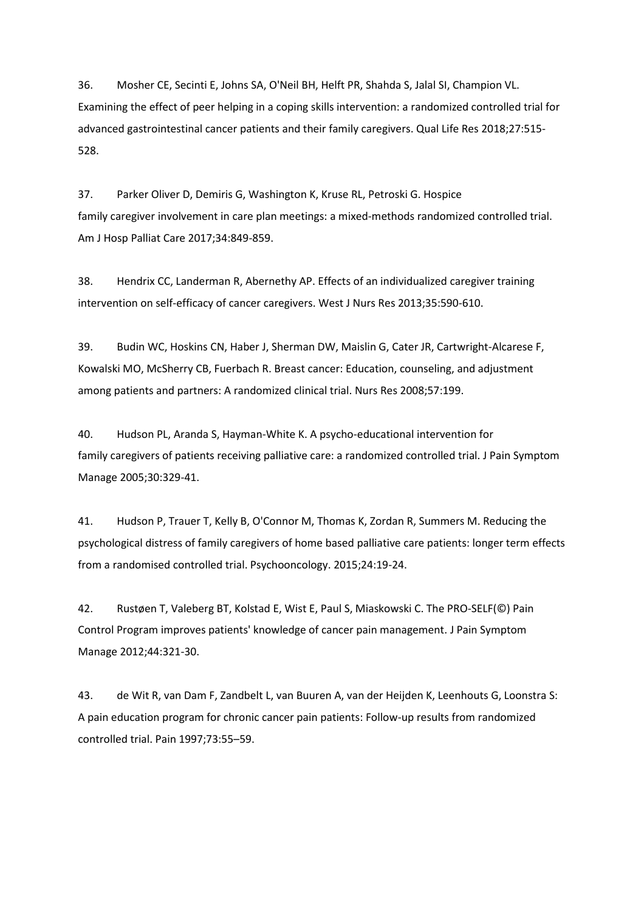36. Mosher CE, Secinti E, Johns SA, O'Neil BH, Helft PR, Shahda S, Jalal SI, Champion VL. Examining the effect of peer helping in a coping skills intervention: a randomized controlled trial for advanced gastrointestinal cancer patients and their family caregivers. Qual Life Res 2018;27:515- 528.

37. Parker Oliver D, Demiris G, Washington K, Kruse RL, Petroski G. Hospice family caregiver involvement in care plan meetings: a mixed-methods randomized controlled trial. Am J Hosp Palliat Care 2017;34:849-859.

38. Hendrix CC, Landerman R, Abernethy AP. Effects of an individualized caregiver training intervention on self-efficacy of cancer caregivers. West J Nurs Res 2013;35:590-610.

39. Budin WC, Hoskins CN, Haber J, Sherman DW, Maislin G, Cater JR, Cartwright-Alcarese F, Kowalski MO, McSherry CB, Fuerbach R. Breast cancer: Education, counseling, and adjustment among patients and partners: A randomized clinical trial. Nurs Res 2008;57:199.

40. Hudson PL, Aranda S, Hayman-White K. A psycho-educational intervention for family caregivers of patients receiving palliative care: a randomized controlled trial. J Pain Symptom Manage 2005;30:329-41.

41. Hudson P, Trauer T, Kelly B, O'Connor M, Thomas K, Zordan R, Summers M. Reducing the psychological distress of family caregivers of home based palliative care patients: longer term effects from a randomised controlled trial. Psychooncology. 2015;24:19-24.

42. Rustøen T, Valeberg BT, Kolstad E, Wist E, Paul S, Miaskowski C. The PRO-SELF(©) Pain Control Program improves patients' knowledge of cancer pain management. J Pain Symptom Manage 2012;44:321-30.

43. de Wit R, van Dam F, Zandbelt L, van Buuren A, van der Heijden K, Leenhouts G, Loonstra S: A pain education program for chronic cancer pain patients: Follow-up results from randomized controlled trial. Pain 1997;73:55–59.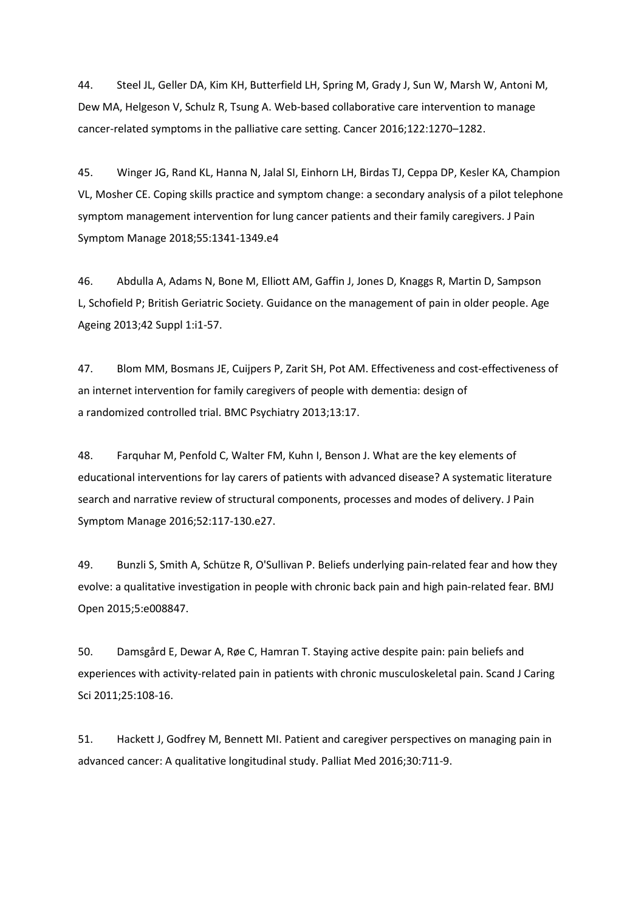44. Steel JL, Geller DA, Kim KH, Butterfield LH, Spring M, Grady J, Sun W, Marsh W, Antoni M, Dew MA, Helgeson V, Schulz R, Tsung A. Web-based collaborative care intervention to manage cancer-related symptoms in the palliative care setting. Cancer 2016;122:1270–1282.

45. Winger JG, Rand KL, Hanna N, Jalal SI, Einhorn LH, Birdas TJ, Ceppa DP, Kesler KA, Champion VL, Mosher CE. Coping skills practice and symptom change: a secondary analysis of a pilot telephone symptom management intervention for lung cancer patients and their family caregivers. J Pain Symptom Manage 2018;55:1341-1349.e4

46. Abdulla A, Adams N, Bone M, Elliott AM, Gaffin J, Jones D, Knaggs R, Martin D, Sampson L, Schofield P; British Geriatric Society. Guidance on the management of pain in older people. Age Ageing 2013;42 Suppl 1:i1-57.

47. Blom MM, Bosmans JE, Cuijpers P, Zarit SH, Pot AM. Effectiveness and cost-effectiveness of an internet intervention for family caregivers of people with dementia: design of a randomized controlled trial. BMC Psychiatry 2013;13:17.

48. Farquhar M, Penfold C, Walter FM, Kuhn I, Benson J. What are the key elements of educational interventions for lay carers of patients with advanced disease? A systematic literature search and narrative review of structural components, processes and modes of delivery. J Pain Symptom Manage 2016;52:117-130.e27.

49. Bunzli S, Smith A, Schütze R, O'Sullivan P. Beliefs underlying pain-related fear and how they evolve: a qualitative investigation in people with chronic back pain and high pain-related fear. BMJ Open 2015;5:e008847.

50. Damsgård E, Dewar A, Røe C, Hamran T. Staying active despite pain: pain beliefs and experiences with activity-related pain in patients with chronic musculoskeletal pain. Scand J Caring Sci 2011;25:108-16.

51. Hackett J, Godfrey M, Bennett MI. Patient and caregiver perspectives on managing pain in advanced cancer: A qualitative longitudinal study. Palliat Med 2016;30:711-9.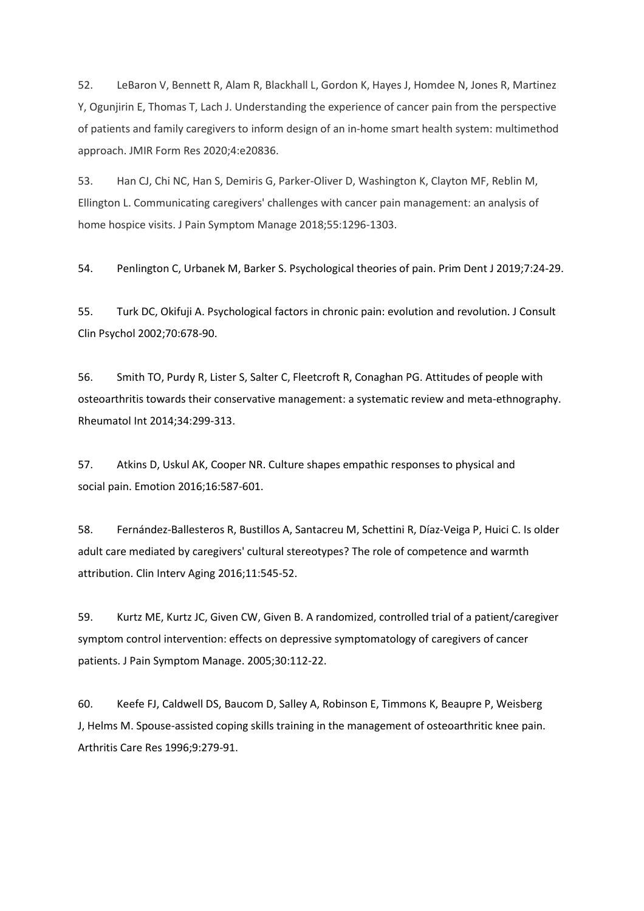52. LeBaron V, Bennett R, Alam R, Blackhall L, Gordon K, Hayes J, Homdee N, Jones R, Martinez Y, Ogunjirin E, Thomas T, Lach J. Understanding the experience of cancer pain from the perspective of patients and family caregivers to inform design of an in-home smart health system: multimethod approach. JMIR Form Res 2020;4:e20836.

53. Han CJ, Chi NC, Han S, Demiris G, Parker-Oliver D, Washington K, Clayton MF, Reblin M, Ellington L. Communicating caregivers' challenges with cancer pain management: an analysis of home hospice visits. J Pain Symptom Manage 2018;55:1296-1303.

54. Penlington C, Urbanek M, Barker S. Psychological theories of pain. Prim Dent J 2019;7:24-29.

55. Turk DC, Okifuji A. Psychological factors in chronic pain: evolution and revolution. J Consult Clin Psychol 2002;70:678-90.

56. Smith TO, Purdy R, Lister S, Salter C, Fleetcroft R, Conaghan PG. Attitudes of people with osteoarthritis towards their conservative management: a systematic review and meta-ethnography. Rheumatol Int 2014;34:299-313.

57. Atkins D, Uskul AK, Cooper NR. Culture shapes empathic responses to physical and social pain. Emotion 2016;16:587-601.

58. Fernández-Ballesteros R, Bustillos A, Santacreu M, Schettini R, Díaz-Veiga P, Huici C. Is older adult care mediated by caregivers' cultural stereotypes? The role of competence and warmth attribution. Clin Interv Aging 2016;11:545-52.

59. Kurtz ME, Kurtz JC, Given CW, Given B. A randomized, controlled trial of a patient/caregiver symptom control intervention: effects on depressive symptomatology of caregivers of cancer patients. J Pain Symptom Manage. 2005;30:112-22.

60. Keefe FJ, Caldwell DS, Baucom D, Salley A, Robinson E, Timmons K, Beaupre P, Weisberg J, Helms M. Spouse-assisted coping skills training in the management of osteoarthritic knee pain. Arthritis Care Res 1996;9:279-91.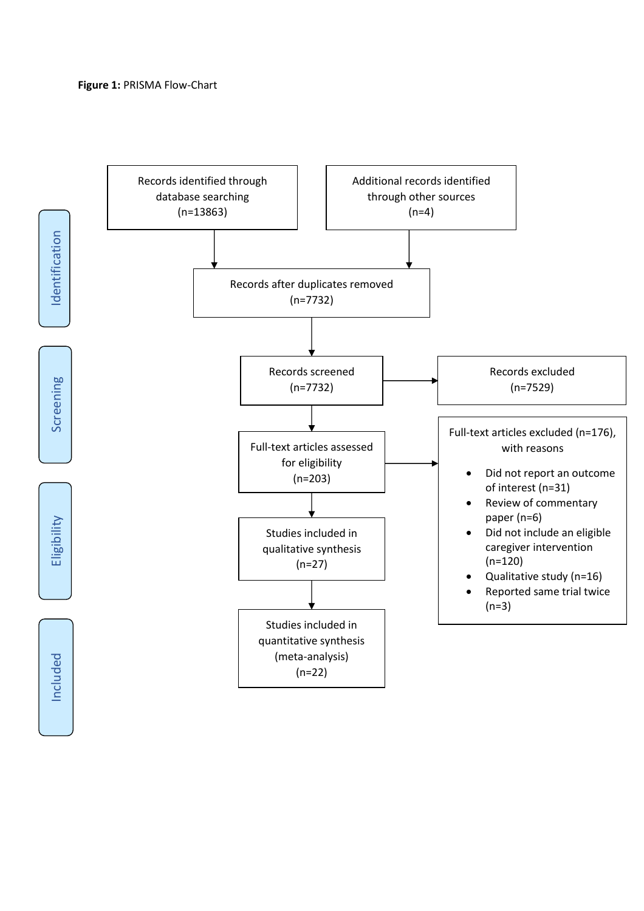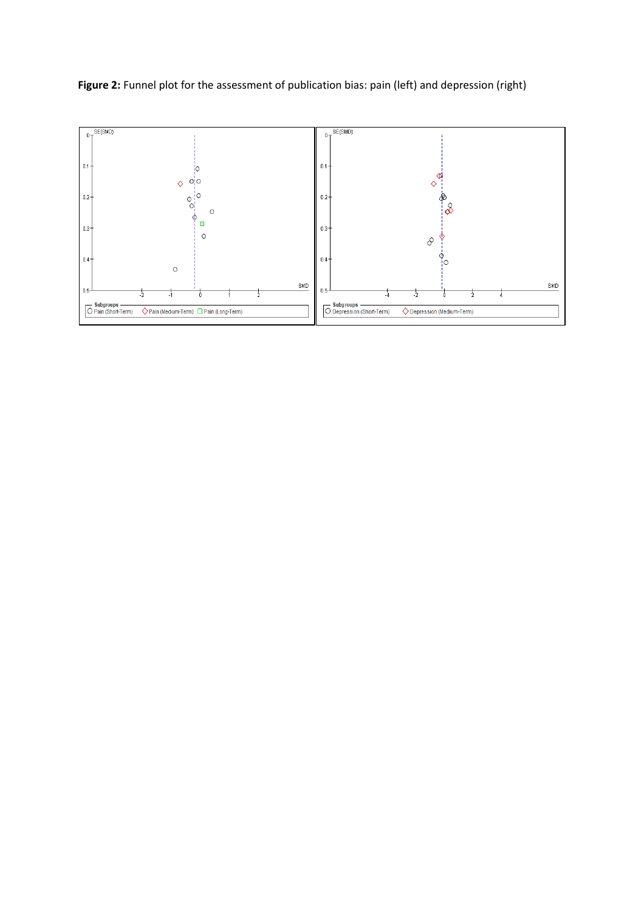Figure 2: Funnel plot for the assessment of publication bias: pain (left) and depression (right)

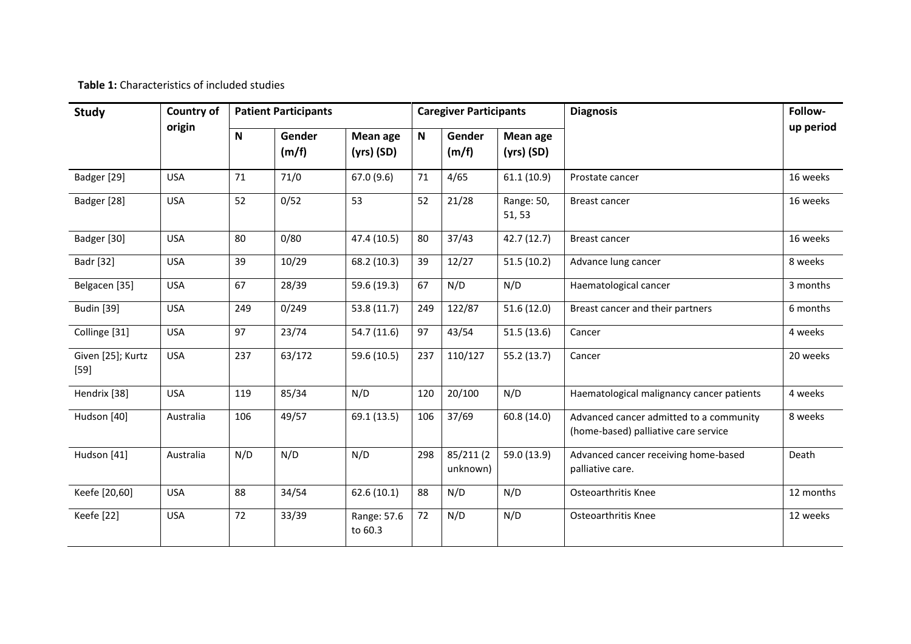**Table 1:** Characteristics of included studies

| <b>Country of</b><br><b>Study</b> |            | <b>Patient Participants</b> |                 |                          |     | <b>Caregiver Participants</b> |                          | <b>Diagnosis</b>                                                                | Follow-   |
|-----------------------------------|------------|-----------------------------|-----------------|--------------------------|-----|-------------------------------|--------------------------|---------------------------------------------------------------------------------|-----------|
|                                   | origin     | N                           | Gender<br>(m/f) | Mean age<br>$(yrs)$ (SD) | N   | Gender<br>(m/f)               | Mean age<br>$(yrs)$ (SD) |                                                                                 | up period |
| Badger [29]                       | <b>USA</b> | 71                          | 71/0            | 67.0(9.6)                | 71  | 4/65                          | 61.1(10.9)               | Prostate cancer                                                                 | 16 weeks  |
| Badger [28]                       | <b>USA</b> | 52                          | 0/52            | 53                       | 52  | 21/28                         | Range: 50,<br>51, 53     | <b>Breast cancer</b>                                                            | 16 weeks  |
| Badger [30]                       | <b>USA</b> | 80                          | 0/80            | 47.4 (10.5)              | 80  | 37/43                         | 42.7 (12.7)              | <b>Breast cancer</b>                                                            | 16 weeks  |
| <b>Badr</b> [32]                  | <b>USA</b> | 39                          | 10/29           | 68.2 (10.3)              | 39  | 12/27                         | 51.5(10.2)               | Advance lung cancer                                                             | 8 weeks   |
| Belgacen [35]                     | <b>USA</b> | 67                          | 28/39           | 59.6 (19.3)              | 67  | N/D                           | N/D                      | Haematological cancer                                                           | 3 months  |
| <b>Budin</b> [39]                 | <b>USA</b> | 249                         | 0/249           | 53.8(11.7)               | 249 | 122/87                        | 51.6(12.0)               | Breast cancer and their partners                                                | 6 months  |
| Collinge [31]                     | <b>USA</b> | 97                          | 23/74           | 54.7 (11.6)              | 97  | 43/54                         | 51.5(13.6)               | Cancer                                                                          | 4 weeks   |
| Given [25]; Kurtz<br>$[59]$       | <b>USA</b> | 237                         | 63/172          | 59.6 (10.5)              | 237 | 110/127                       | 55.2(13.7)               | Cancer                                                                          | 20 weeks  |
| Hendrix [38]                      | <b>USA</b> | 119                         | 85/34           | N/D                      | 120 | 20/100                        | N/D                      | Haematological malignancy cancer patients                                       | 4 weeks   |
| Hudson [40]                       | Australia  | 106                         | 49/57           | 69.1 (13.5)              | 106 | 37/69                         | 60.8 (14.0)              | Advanced cancer admitted to a community<br>(home-based) palliative care service | 8 weeks   |
| Hudson [41]                       | Australia  | N/D                         | N/D             | N/D                      | 298 | 85/211 (2<br>unknown)         | 59.0 (13.9)              | Advanced cancer receiving home-based<br>palliative care.                        | Death     |
| Keefe [20,60]                     | <b>USA</b> | 88                          | 34/54           | 62.6(10.1)               | 88  | N/D                           | N/D                      | <b>Osteoarthritis Knee</b>                                                      | 12 months |
| Keefe [22]                        | <b>USA</b> | 72                          | 33/39           | Range: 57.6<br>to 60.3   | 72  | N/D                           | N/D                      | <b>Osteoarthritis Knee</b>                                                      | 12 weeks  |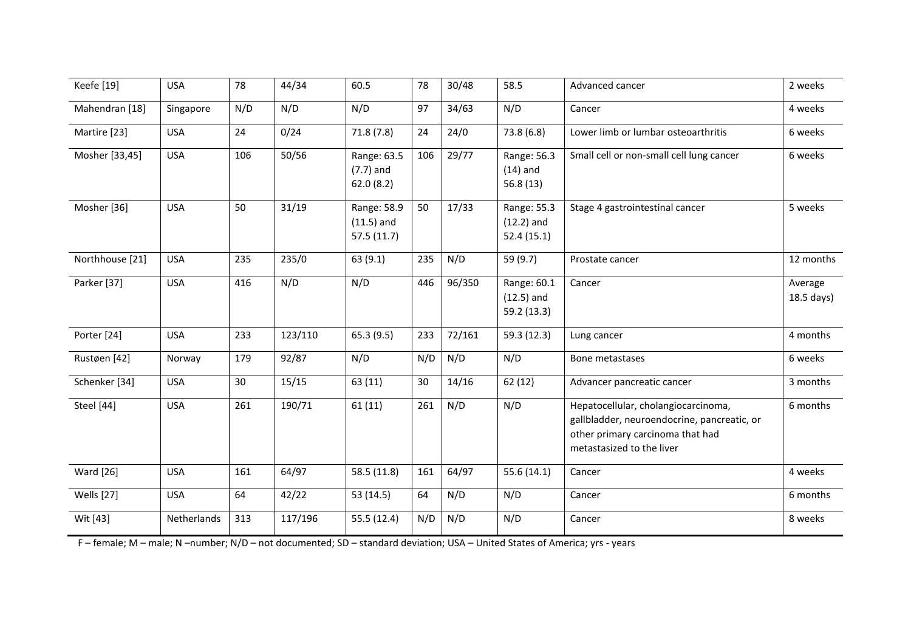| Keefe [19]               | <b>USA</b>  | 78  | 44/34   | 60.5                                      | 78  | 30/48  | 58.5                                       | Advanced cancer                                                                                                                                     | 2 weeks               |
|--------------------------|-------------|-----|---------|-------------------------------------------|-----|--------|--------------------------------------------|-----------------------------------------------------------------------------------------------------------------------------------------------------|-----------------------|
| Mahendran [18]           | Singapore   | N/D | N/D     | N/D                                       | 97  | 34/63  | N/D                                        | Cancer                                                                                                                                              | 4 weeks               |
| Martire [23]             | <b>USA</b>  | 24  | 0/24    | 71.8(7.8)                                 | 24  | 24/0   | 73.8(6.8)                                  | Lower limb or lumbar osteoarthritis                                                                                                                 | 6 weeks               |
| Mosher [33,45]           | <b>USA</b>  | 106 | 50/56   | Range: 63.5<br>$(7.7)$ and<br>62.0(8.2)   | 106 | 29/77  | Range: 56.3<br>$(14)$ and<br>56.8(13)      | Small cell or non-small cell lung cancer                                                                                                            | 6 weeks               |
| Mosher [36]              | <b>USA</b>  | 50  | 31/19   | Range: 58.9<br>$(11.5)$ and<br>57.5(11.7) | 50  | 17/33  | Range: 55.3<br>$(12.2)$ and<br>52.4 (15.1) | Stage 4 gastrointestinal cancer                                                                                                                     | 5 weeks               |
| Northhouse [21]          | <b>USA</b>  | 235 | 235/0   | 63(9.1)                                   | 235 | N/D    | 59 (9.7)                                   | Prostate cancer                                                                                                                                     | 12 months             |
| Parker [37]              | <b>USA</b>  | 416 | N/D     | N/D                                       | 446 | 96/350 | Range: 60.1<br>$(12.5)$ and<br>59.2 (13.3) | Cancer                                                                                                                                              | Average<br>18.5 days) |
| Porter [24]              | <b>USA</b>  | 233 | 123/110 | 65.3(9.5)                                 | 233 | 72/161 | 59.3 (12.3)                                | Lung cancer                                                                                                                                         | 4 months              |
| Rustøen [42]             | Norway      | 179 | 92/87   | N/D                                       | N/D | N/D    | N/D                                        | Bone metastases                                                                                                                                     | 6 weeks               |
| Schenker <sup>[34]</sup> | <b>USA</b>  | 30  | 15/15   | 63 (11)                                   | 30  | 14/16  | 62(12)                                     | Advancer pancreatic cancer                                                                                                                          | 3 months              |
| Steel [44]               | <b>USA</b>  | 261 | 190/71  | 61(11)                                    | 261 | N/D    | N/D                                        | Hepatocellular, cholangiocarcinoma,<br>gallbladder, neuroendocrine, pancreatic, or<br>other primary carcinoma that had<br>metastasized to the liver | 6 months              |
| <b>Ward</b> [26]         | <b>USA</b>  | 161 | 64/97   | 58.5(11.8)                                | 161 | 64/97  | 55.6 (14.1)                                | Cancer                                                                                                                                              | 4 weeks               |
| Wells [27]               | <b>USA</b>  | 64  | 42/22   | 53 (14.5)                                 | 64  | N/D    | N/D                                        | Cancer                                                                                                                                              | 6 months              |
| Wit [43]                 | Netherlands | 313 | 117/196 | 55.5 (12.4)                               | N/D | N/D    | N/D                                        | Cancer                                                                                                                                              | 8 weeks               |

F – female; M – male; N –number; N/D – not documented; SD – standard deviation; USA – United States of America; yrs - years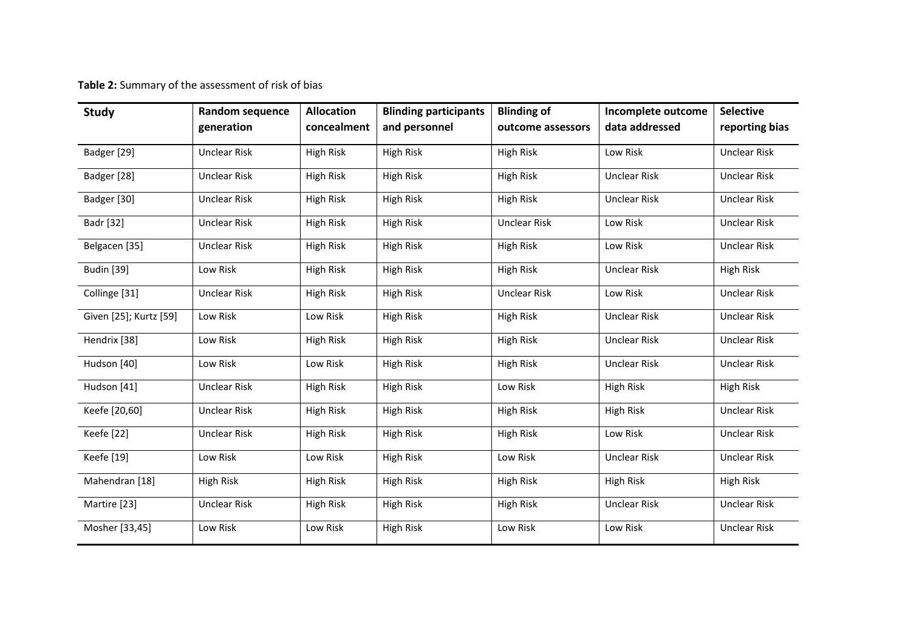**Table 2:** Summary of the assessment of risk of bias

| <b>Study</b>           | <b>Random sequence</b><br>generation | <b>Allocation</b><br>concealment | <b>Blinding participants</b><br>and personnel | <b>Blinding of</b><br>outcome assessors | Incomplete outcome<br>data addressed | <b>Selective</b><br>reporting bias |
|------------------------|--------------------------------------|----------------------------------|-----------------------------------------------|-----------------------------------------|--------------------------------------|------------------------------------|
| Badger [29]            | <b>Unclear Risk</b>                  | High Risk                        | High Risk                                     | High Risk                               | Low Risk                             | <b>Unclear Risk</b>                |
| Badger [28]            | <b>Unclear Risk</b>                  | <b>High Risk</b>                 | High Risk                                     | High Risk                               | <b>Unclear Risk</b>                  | <b>Unclear Risk</b>                |
| Badger [30]            | <b>Unclear Risk</b>                  | High Risk                        | High Risk                                     | High Risk                               | <b>Unclear Risk</b>                  | <b>Unclear Risk</b>                |
| <b>Badr</b> [32]       | <b>Unclear Risk</b>                  | <b>High Risk</b>                 | High Risk                                     | <b>Unclear Risk</b>                     | Low Risk                             | <b>Unclear Risk</b>                |
| Belgacen [35]          | <b>Unclear Risk</b>                  | High Risk                        | High Risk                                     | High Risk                               | Low Risk                             | <b>Unclear Risk</b>                |
| <b>Budin</b> [39]      | Low Risk                             | High Risk                        | High Risk                                     | High Risk                               | <b>Unclear Risk</b>                  | High Risk                          |
| Collinge [31]          | <b>Unclear Risk</b>                  | High Risk                        | High Risk                                     | <b>Unclear Risk</b>                     | Low Risk                             | <b>Unclear Risk</b>                |
| Given [25]; Kurtz [59] | Low Risk                             | Low Risk                         | High Risk                                     | High Risk                               | <b>Unclear Risk</b>                  | <b>Unclear Risk</b>                |
| Hendrix [38]           | Low Risk                             | High Risk                        | High Risk                                     | High Risk                               | <b>Unclear Risk</b>                  | <b>Unclear Risk</b>                |
| Hudson [40]            | Low Risk                             | Low Risk                         | High Risk                                     | High Risk                               | <b>Unclear Risk</b>                  | <b>Unclear Risk</b>                |
| Hudson [41]            | <b>Unclear Risk</b>                  | High Risk                        | High Risk                                     | Low Risk                                | <b>High Risk</b>                     | High Risk                          |
| Keefe [20,60]          | <b>Unclear Risk</b>                  | High Risk                        | High Risk                                     | High Risk                               | <b>High Risk</b>                     | <b>Unclear Risk</b>                |
| Keefe [22]             | <b>Unclear Risk</b>                  | <b>High Risk</b>                 | High Risk                                     | High Risk                               | Low Risk                             | <b>Unclear Risk</b>                |
| Keefe [19]             | Low Risk                             | Low Risk                         | High Risk                                     | Low Risk                                | <b>Unclear Risk</b>                  | <b>Unclear Risk</b>                |
| Mahendran [18]         | <b>High Risk</b>                     | <b>High Risk</b>                 | High Risk                                     | High Risk                               | <b>High Risk</b>                     | High Risk                          |
| Martire [23]           | <b>Unclear Risk</b>                  | High Risk                        | High Risk                                     | High Risk                               | <b>Unclear Risk</b>                  | <b>Unclear Risk</b>                |
| Mosher [33,45]         | Low Risk                             | Low Risk                         | <b>High Risk</b>                              | Low Risk                                | Low Risk                             | <b>Unclear Risk</b>                |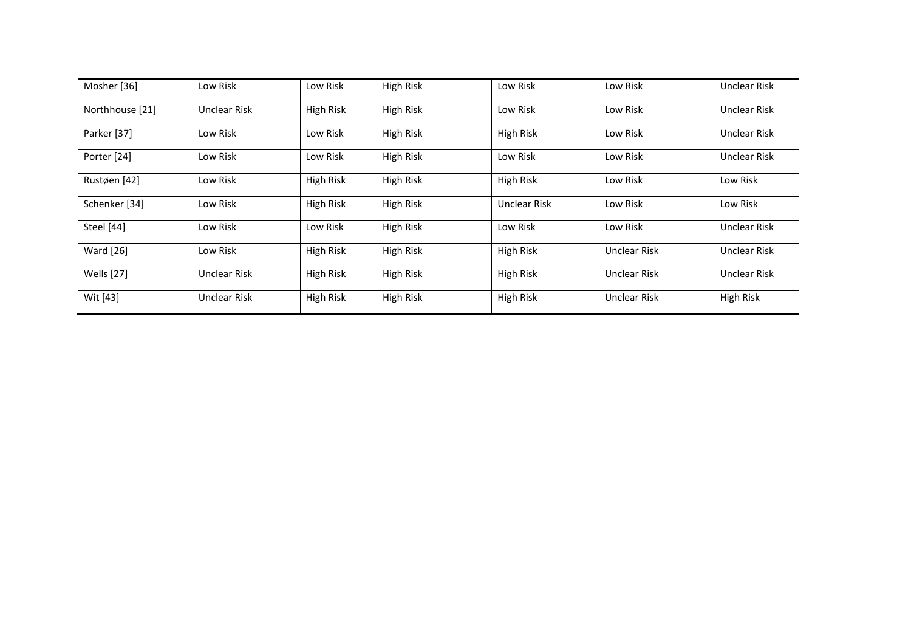| Mosher [36]       | Low Risk            | Low Risk         | High Risk        | Low Risk            | Low Risk            | <b>Unclear Risk</b> |
|-------------------|---------------------|------------------|------------------|---------------------|---------------------|---------------------|
| Northhouse [21]   | <b>Unclear Risk</b> | <b>High Risk</b> | High Risk        | Low Risk            | Low Risk            | Unclear Risk        |
| Parker [37]       | Low Risk            | Low Risk         | High Risk        | High Risk           | Low Risk            | <b>Unclear Risk</b> |
| Porter [24]       | Low Risk            | Low Risk         | High Risk        | Low Risk            | Low Risk            | <b>Unclear Risk</b> |
| Rustøen [42]      | Low Risk            | High Risk        | High Risk        | High Risk           | Low Risk            | Low Risk            |
| Schenker [34]     | Low Risk            | High Risk        | High Risk        | <b>Unclear Risk</b> | Low Risk            | Low Risk            |
| Steel [44]        | Low Risk            | Low Risk         | High Risk        | Low Risk            | Low Risk            | Unclear Risk        |
| <b>Ward</b> [26]  | Low Risk            | <b>High Risk</b> | High Risk        | High Risk           | <b>Unclear Risk</b> | <b>Unclear Risk</b> |
| <b>Wells</b> [27] | <b>Unclear Risk</b> | High Risk        | <b>High Risk</b> | High Risk           | <b>Unclear Risk</b> | <b>Unclear Risk</b> |
| Wit [43]          | Unclear Risk        | High Risk        | High Risk        | High Risk           | <b>Unclear Risk</b> | <b>High Risk</b>    |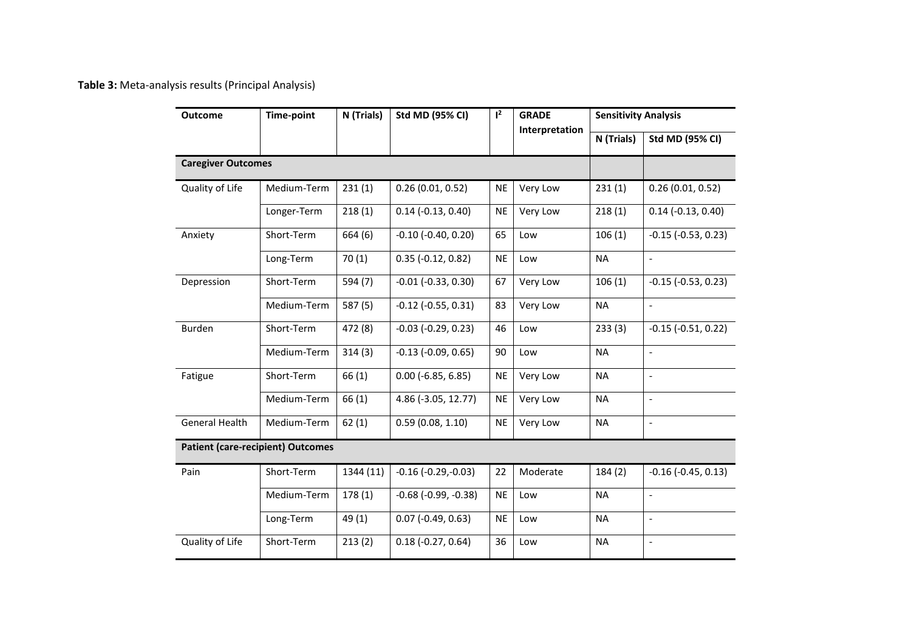**Table 3:** Meta-analysis results (Principal Analysis)

| <b>Outcome</b>            | <b>Time-point</b>                        | $1^2$<br>N (Trials)<br><b>Std MD (95% CI)</b> |                               | <b>GRADE</b> | <b>Sensitivity Analysis</b> |            |                          |
|---------------------------|------------------------------------------|-----------------------------------------------|-------------------------------|--------------|-----------------------------|------------|--------------------------|
|                           |                                          |                                               |                               |              | Interpretation              | N (Trials) | <b>Std MD (95% CI)</b>   |
| <b>Caregiver Outcomes</b> |                                          |                                               |                               |              |                             |            |                          |
| Quality of Life           | Medium-Term                              | 231(1)                                        | 0.26(0.01, 0.52)              | <b>NE</b>    | Very Low                    | 231(1)     | 0.26(0.01, 0.52)         |
|                           | Longer-Term                              | 218(1)                                        | $0.14$ (-0.13, 0.40)          | <b>NE</b>    | Very Low                    | 218(1)     | $0.14$ (-0.13, 0.40)     |
| Anxiety                   | Short-Term                               | 664 (6)                                       | $-0.10$ $(-0.40, 0.20)$       | 65           | Low                         | 106(1)     | $-0.15$ $(-0.53, 0.23)$  |
|                           | Long-Term                                | 70(1)                                         | $0.35$ (-0.12, 0.82)          | <b>NE</b>    | Low                         | <b>NA</b>  | $\overline{a}$           |
| Depression                | Short-Term                               | 594 (7)                                       | $-0.01$ $(-0.33, 0.30)$       | 67           | Very Low                    | 106(1)     | $-0.15$ $(-0.53, 0.23)$  |
|                           | Medium-Term                              | 587 (5)                                       | $-0.12$ $(-0.55, 0.31)$       | 83           | Very Low                    | <b>NA</b>  | $\overline{a}$           |
| Burden                    | Short-Term                               | 472 (8)                                       | $-0.03$ $(-0.29, 0.23)$       | 46           | Low                         | 233(3)     | $-0.15$ $(-0.51, 0.22)$  |
|                           | Medium-Term                              | 314(3)                                        | $-0.13$ $(-0.09, 0.65)$       | 90           | Low                         | <b>NA</b>  | $\frac{1}{2}$            |
| Fatigue                   | Short-Term                               | 66(1)                                         | $0.00$ ( $-6.85, 6.85$ )      | <b>NE</b>    | Very Low                    | <b>NA</b>  | $\overline{\phantom{0}}$ |
|                           | Medium-Term                              | 66(1)                                         | 4.86 (-3.05, 12.77)           | <b>NE</b>    | Very Low                    | <b>NA</b>  | $\frac{1}{2}$            |
| <b>General Health</b>     | Medium-Term                              | 62(1)                                         | 0.59(0.08, 1.10)              | <b>NE</b>    | Very Low                    | <b>NA</b>  | $\overline{\phantom{0}}$ |
|                           | <b>Patient (care-recipient) Outcomes</b> |                                               |                               |              |                             |            |                          |
| Pain                      | Short-Term                               | 1344 (11)                                     | $-0.16$ $(-0.29,-0.03)$       | 22           | Moderate                    | 184(2)     | $-0.16$ $(-0.45, 0.13)$  |
|                           | Medium-Term                              | 178(1)                                        | $-0.68$ ( $-0.99$ , $-0.38$ ) | <b>NE</b>    | Low                         | <b>NA</b>  | $\overline{\phantom{0}}$ |
|                           | Long-Term                                | 49 (1)                                        | $0.07$ (-0.49, 0.63)          | <b>NE</b>    | Low                         | <b>NA</b>  | $\overline{a}$           |
| Quality of Life           | Short-Term                               | 213(2)                                        | $0.18(-0.27, 0.64)$           | 36           | Low                         | <b>NA</b>  | $\overline{a}$           |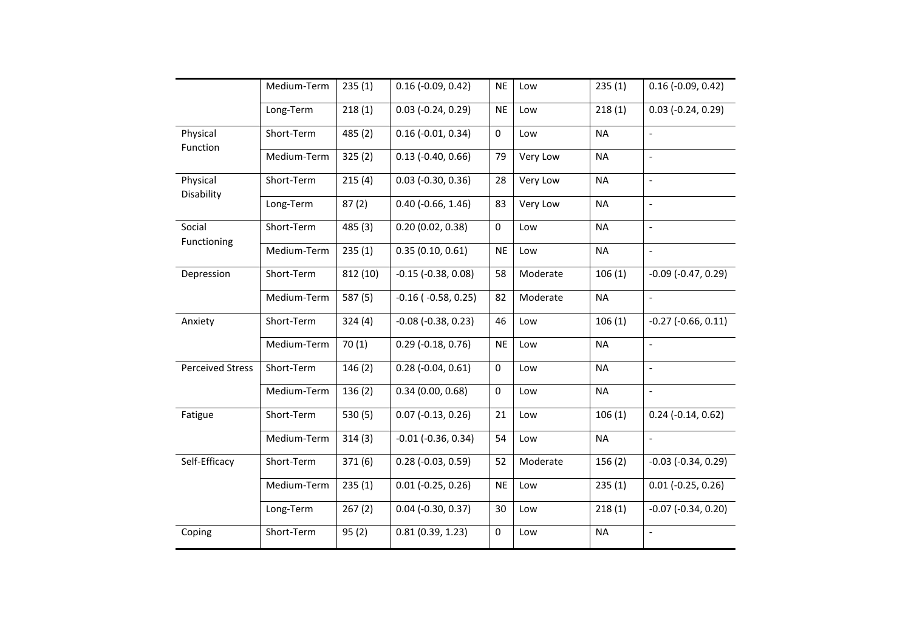|                         | Medium-Term | 235(1)   | $0.16$ (-0.09, 0.42)      | <b>NE</b> | Low      | 235(1)    | $0.16$ (-0.09, 0.42)     |
|-------------------------|-------------|----------|---------------------------|-----------|----------|-----------|--------------------------|
|                         | Long-Term   | 218(1)   | $0.03$ (-0.24, 0.29)      | <b>NE</b> | Low      | 218(1)    | $0.03$ (-0.24, 0.29)     |
| Physical<br>Function    | Short-Term  | 485 (2)  | $0.16$ (-0.01, 0.34)      | $\Omega$  | Low      | <b>NA</b> | $\qquad \qquad \Box$     |
|                         | Medium-Term | 325(2)   | $0.13$ (-0.40, 0.66)      | 79        | Very Low | <b>NA</b> | $\overline{a}$           |
| Physical<br>Disability  | Short-Term  | 215(4)   | $0.03$ (-0.30, 0.36)      | 28        | Very Low | <b>NA</b> | $\overline{\phantom{a}}$ |
|                         | Long-Term   | 87(2)    | $0.40$ (-0.66, 1.46)      | 83        | Very Low | <b>NA</b> | $\overline{\phantom{a}}$ |
| Social                  | Short-Term  | 485 (3)  | 0.20(0.02, 0.38)          | $\Omega$  | Low      | <b>NA</b> | $\overline{a}$           |
| Functioning             | Medium-Term | 235(1)   | 0.35(0.10, 0.61)          | <b>NE</b> | Low      | <b>NA</b> | $\Box$                   |
| Depression              | Short-Term  | 812 (10) | $-0.15$ $(-0.38, 0.08)$   | 58        | Moderate | 106(1)    | $-0.09$ $(-0.47, 0.29)$  |
|                         | Medium-Term | 587 (5)  | $-0.16$ ( $-0.58$ , 0.25) | 82        | Moderate | <b>NA</b> | $\overline{a}$           |
| Anxiety                 | Short-Term  | 324(4)   | $-0.08$ $(-0.38, 0.23)$   | 46        | Low      | 106(1)    | $-0.27$ $(-0.66, 0.11)$  |
|                         | Medium-Term | 70(1)    | $0.29$ (-0.18, 0.76)      | <b>NE</b> | Low      | <b>NA</b> | $\overline{\phantom{a}}$ |
| <b>Perceived Stress</b> | Short-Term  | 146(2)   | $0.28(-0.04, 0.61)$       | 0         | Low      | <b>NA</b> | $\qquad \qquad \Box$     |
|                         | Medium-Term | 136(2)   | 0.34(0.00, 0.68)          | 0         | Low      | <b>NA</b> | $\Box$                   |
| Fatigue                 | Short-Term  | 530(5)   | $0.07$ (-0.13, 0.26)      | 21        | Low      | 106(1)    | $0.24$ (-0.14, 0.62)     |
|                         | Medium-Term | 314(3)   | $-0.01$ $(-0.36, 0.34)$   | 54        | Low      | <b>NA</b> | $\blacksquare$           |
| Self-Efficacy           | Short-Term  | 371(6)   | $0.28$ (-0.03, 0.59)      | 52        | Moderate | 156(2)    | $-0.03$ $(-0.34, 0.29)$  |
|                         | Medium-Term | 235(1)   | $0.01$ (-0.25, 0.26)      | <b>NE</b> | Low      | 235(1)    | $0.01$ (-0.25, 0.26)     |
|                         | Long-Term   | 267(2)   | $0.04$ (-0.30, 0.37)      | 30        | Low      | 218(1)    | $-0.07$ $(-0.34, 0.20)$  |
| Coping                  | Short-Term  | 95(2)    | 0.81(0.39, 1.23)          | 0         | Low      | <b>NA</b> | $\qquad \qquad \Box$     |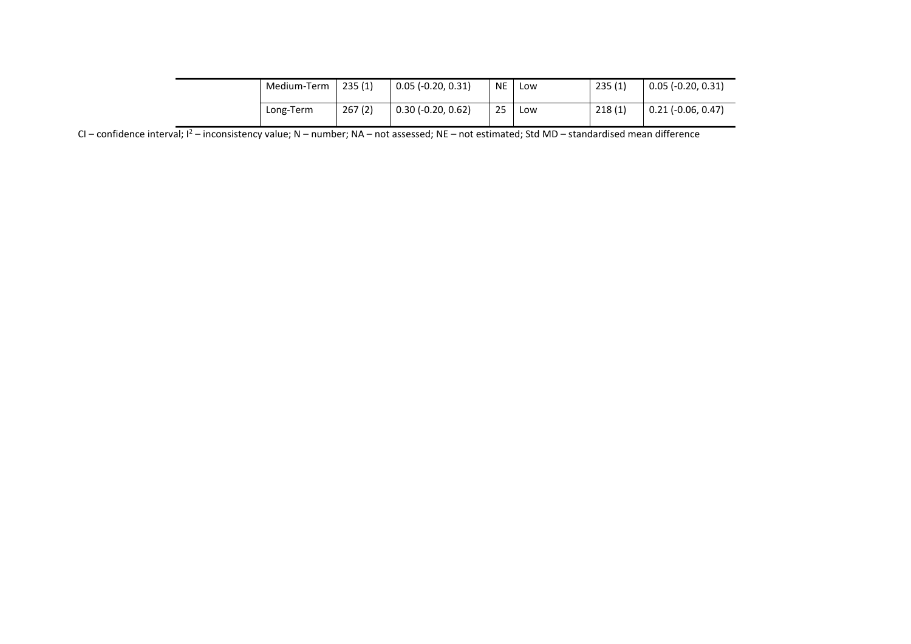| Medium-Term | 235(1) | $0.05$ (-0.20, 0.31) | <b>NE</b> | Low | 235(1) | $0.05$ (-0.20, 0.31) |
|-------------|--------|----------------------|-----------|-----|--------|----------------------|
| Long-Term   | 267(2) | $0.30$ (-0.20, 0.62) | 25        | Low | 218(1) | $0.21$ (-0.06, 0.47) |

CI – confidence interval;  $I^2$  – inconsistency value; N – number; NA – not assessed; NE – not estimated; Std MD – standardised mean difference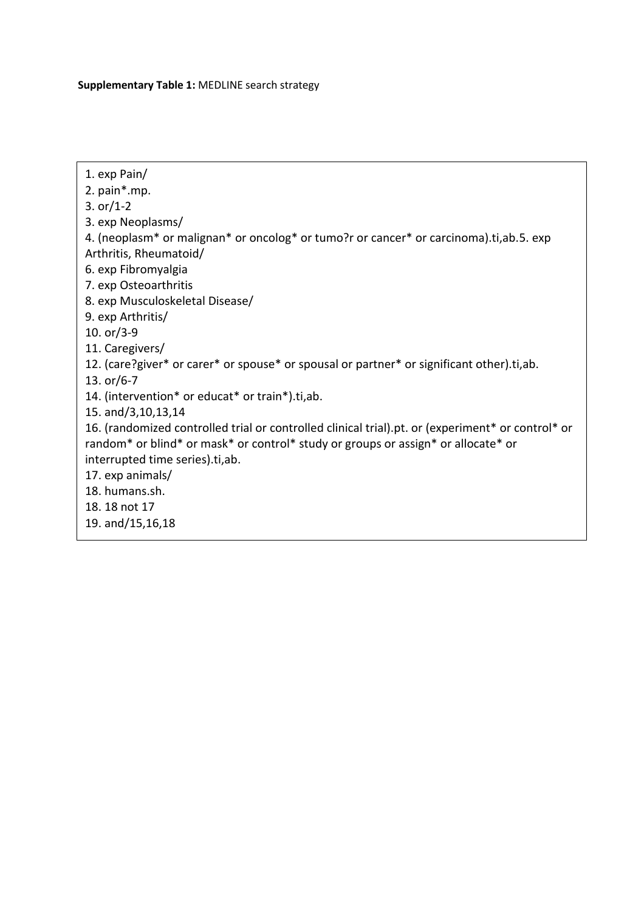**Supplementary Table 1:** MEDLINE search strategy

- 1. exp Pain/
- 2. pain\*.mp.
- 3. or/1-2
- 3. exp Neoplasms/
- 4. (neoplasm\* or malignan\* or oncolog\* or tumo?r or cancer\* or carcinoma).ti,ab.5. exp Arthritis, Rheumatoid/
- 6. exp Fibromyalgia
- 7. exp Osteoarthritis
- 8. exp Musculoskeletal Disease/
- 9. exp Arthritis/
- 10. or/3-9
- 11. Caregivers/
- 12. (care?giver\* or carer\* or spouse\* or spousal or partner\* or significant other).ti,ab.
- 13. or/6-7
- 14. (intervention\* or educat\* or train\*).ti,ab.
- 15. and/3,10,13,14
- 16. (randomized controlled trial or controlled clinical trial).pt. or (experiment\* or control\* or random\* or blind\* or mask\* or control\* study or groups or assign\* or allocate\* or interrupted time series).ti,ab.
- 17. exp animals/
- 18. humans.sh.
- 18. 18 not 17
- 19. and/15,16,18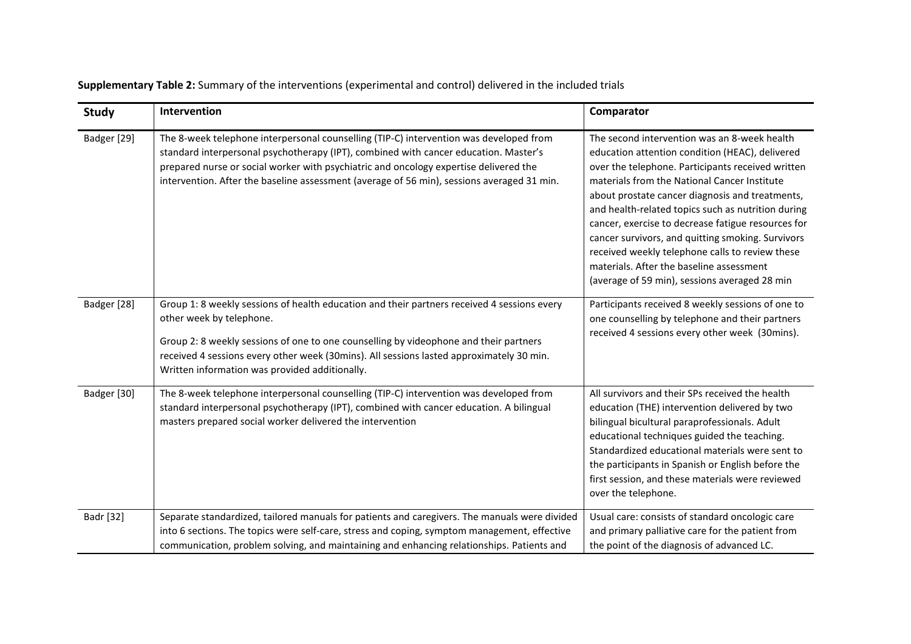**Supplementary Table 2:** Summary of the interventions (experimental and control) delivered in the included trials

| <b>Study</b> | Intervention                                                                                                                                                                                                                                                                                                                                                          | Comparator                                                                                                                                                                                                                                                                                                                                                                                                                                                                                                                                                               |
|--------------|-----------------------------------------------------------------------------------------------------------------------------------------------------------------------------------------------------------------------------------------------------------------------------------------------------------------------------------------------------------------------|--------------------------------------------------------------------------------------------------------------------------------------------------------------------------------------------------------------------------------------------------------------------------------------------------------------------------------------------------------------------------------------------------------------------------------------------------------------------------------------------------------------------------------------------------------------------------|
| Badger [29]  | The 8-week telephone interpersonal counselling (TIP-C) intervention was developed from<br>standard interpersonal psychotherapy (IPT), combined with cancer education. Master's<br>prepared nurse or social worker with psychiatric and oncology expertise delivered the<br>intervention. After the baseline assessment (average of 56 min), sessions averaged 31 min. | The second intervention was an 8-week health<br>education attention condition (HEAC), delivered<br>over the telephone. Participants received written<br>materials from the National Cancer Institute<br>about prostate cancer diagnosis and treatments,<br>and health-related topics such as nutrition during<br>cancer, exercise to decrease fatigue resources for<br>cancer survivors, and quitting smoking. Survivors<br>received weekly telephone calls to review these<br>materials. After the baseline assessment<br>(average of 59 min), sessions averaged 28 min |
| Badger [28]  | Group 1: 8 weekly sessions of health education and their partners received 4 sessions every<br>other week by telephone.<br>Group 2: 8 weekly sessions of one to one counselling by videophone and their partners<br>received 4 sessions every other week (30mins). All sessions lasted approximately 30 min.<br>Written information was provided additionally.        | Participants received 8 weekly sessions of one to<br>one counselling by telephone and their partners<br>received 4 sessions every other week (30mins).                                                                                                                                                                                                                                                                                                                                                                                                                   |
| Badger [30]  | The 8-week telephone interpersonal counselling (TIP-C) intervention was developed from<br>standard interpersonal psychotherapy (IPT), combined with cancer education. A bilingual<br>masters prepared social worker delivered the intervention                                                                                                                        | All survivors and their SPs received the health<br>education (THE) intervention delivered by two<br>bilingual bicultural paraprofessionals. Adult<br>educational techniques guided the teaching.<br>Standardized educational materials were sent to<br>the participants in Spanish or English before the<br>first session, and these materials were reviewed<br>over the telephone.                                                                                                                                                                                      |
| Badr [32]    | Separate standardized, tailored manuals for patients and caregivers. The manuals were divided<br>into 6 sections. The topics were self-care, stress and coping, symptom management, effective<br>communication, problem solving, and maintaining and enhancing relationships. Patients and                                                                            | Usual care: consists of standard oncologic care<br>and primary palliative care for the patient from<br>the point of the diagnosis of advanced LC.                                                                                                                                                                                                                                                                                                                                                                                                                        |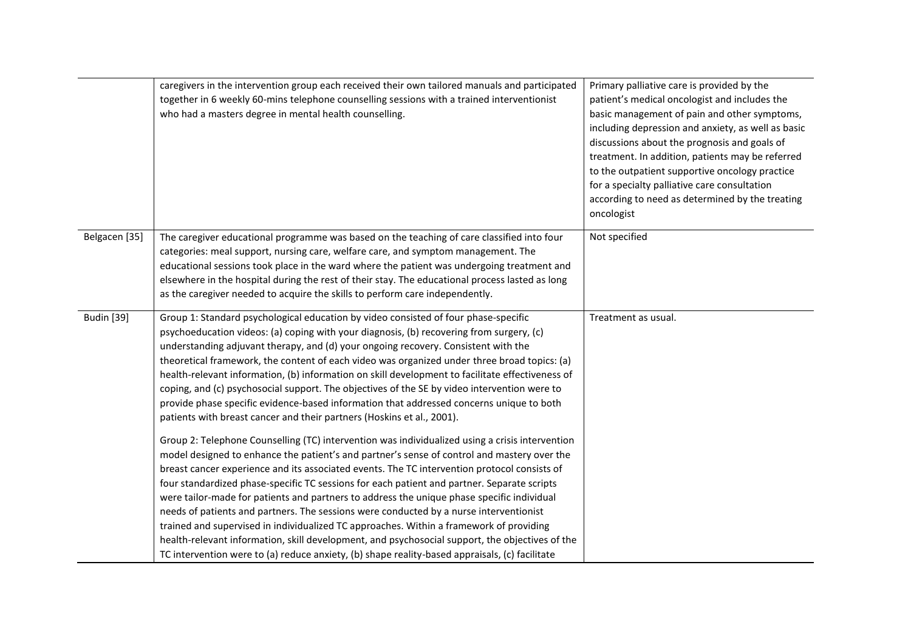| caregivers in the intervention group each received their own tailored manuals and participated<br>together in 6 weekly 60-mins telephone counselling sessions with a trained interventionist<br>who had a masters degree in mental health counselling.                                                                                                                                                                                                                                                                                                                                                                                                                                                                                                                                                                                                                                                                                                                                                                                                                                                                                                                                                                                                                                                                                                                                                                                                                                                                                 | Primary palliative care is provided by the<br>patient's medical oncologist and includes the<br>basic management of pain and other symptoms,<br>including depression and anxiety, as well as basic<br>discussions about the prognosis and goals of<br>treatment. In addition, patients may be referred<br>to the outpatient supportive oncology practice<br>for a specialty palliative care consultation<br>according to need as determined by the treating<br>oncologist |
|----------------------------------------------------------------------------------------------------------------------------------------------------------------------------------------------------------------------------------------------------------------------------------------------------------------------------------------------------------------------------------------------------------------------------------------------------------------------------------------------------------------------------------------------------------------------------------------------------------------------------------------------------------------------------------------------------------------------------------------------------------------------------------------------------------------------------------------------------------------------------------------------------------------------------------------------------------------------------------------------------------------------------------------------------------------------------------------------------------------------------------------------------------------------------------------------------------------------------------------------------------------------------------------------------------------------------------------------------------------------------------------------------------------------------------------------------------------------------------------------------------------------------------------|--------------------------------------------------------------------------------------------------------------------------------------------------------------------------------------------------------------------------------------------------------------------------------------------------------------------------------------------------------------------------------------------------------------------------------------------------------------------------|
| The caregiver educational programme was based on the teaching of care classified into four<br>categories: meal support, nursing care, welfare care, and symptom management. The<br>educational sessions took place in the ward where the patient was undergoing treatment and<br>elsewhere in the hospital during the rest of their stay. The educational process lasted as long<br>as the caregiver needed to acquire the skills to perform care independently.                                                                                                                                                                                                                                                                                                                                                                                                                                                                                                                                                                                                                                                                                                                                                                                                                                                                                                                                                                                                                                                                       | Not specified                                                                                                                                                                                                                                                                                                                                                                                                                                                            |
| Group 1: Standard psychological education by video consisted of four phase-specific<br>psychoeducation videos: (a) coping with your diagnosis, (b) recovering from surgery, (c)<br>understanding adjuvant therapy, and (d) your ongoing recovery. Consistent with the<br>theoretical framework, the content of each video was organized under three broad topics: (a)<br>health-relevant information, (b) information on skill development to facilitate effectiveness of<br>coping, and (c) psychosocial support. The objectives of the SE by video intervention were to<br>provide phase specific evidence-based information that addressed concerns unique to both<br>patients with breast cancer and their partners (Hoskins et al., 2001).<br>Group 2: Telephone Counselling (TC) intervention was individualized using a crisis intervention<br>model designed to enhance the patient's and partner's sense of control and mastery over the<br>breast cancer experience and its associated events. The TC intervention protocol consists of<br>four standardized phase-specific TC sessions for each patient and partner. Separate scripts<br>were tailor-made for patients and partners to address the unique phase specific individual<br>needs of patients and partners. The sessions were conducted by a nurse interventionist<br>trained and supervised in individualized TC approaches. Within a framework of providing<br>health-relevant information, skill development, and psychosocial support, the objectives of the | Treatment as usual.                                                                                                                                                                                                                                                                                                                                                                                                                                                      |
|                                                                                                                                                                                                                                                                                                                                                                                                                                                                                                                                                                                                                                                                                                                                                                                                                                                                                                                                                                                                                                                                                                                                                                                                                                                                                                                                                                                                                                                                                                                                        | TC intervention were to (a) reduce anxiety, (b) shape reality-based appraisals, (c) facilitate                                                                                                                                                                                                                                                                                                                                                                           |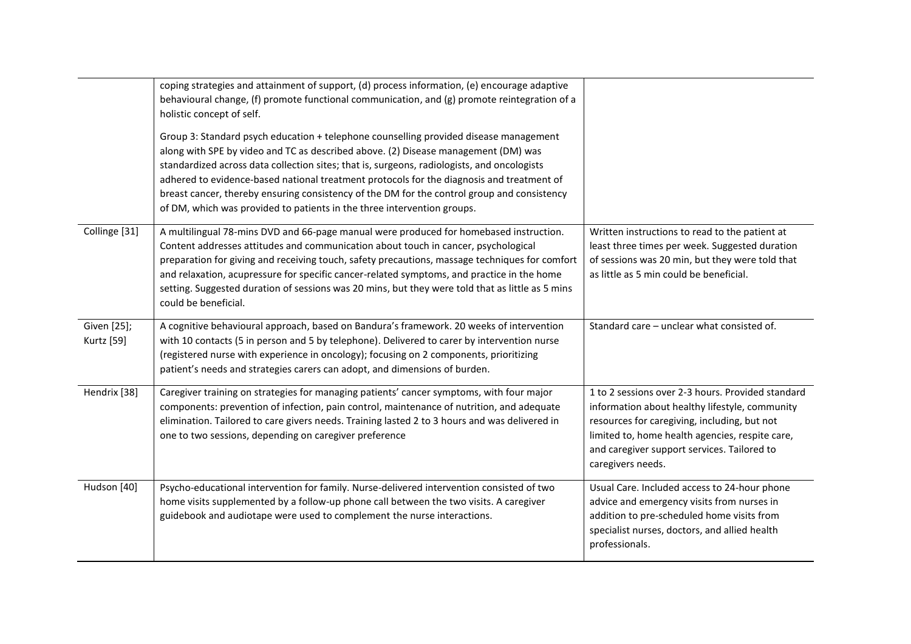|                                  | coping strategies and attainment of support, (d) process information, (e) encourage adaptive<br>behavioural change, (f) promote functional communication, and $(g)$ promote reintegration of a<br>holistic concept of self.<br>Group 3: Standard psych education + telephone counselling provided disease management<br>along with SPE by video and TC as described above. (2) Disease management (DM) was<br>standardized across data collection sites; that is, surgeons, radiologists, and oncologists<br>adhered to evidence-based national treatment protocols for the diagnosis and treatment of |                                                                                                                                                                                                                                                                            |
|----------------------------------|--------------------------------------------------------------------------------------------------------------------------------------------------------------------------------------------------------------------------------------------------------------------------------------------------------------------------------------------------------------------------------------------------------------------------------------------------------------------------------------------------------------------------------------------------------------------------------------------------------|----------------------------------------------------------------------------------------------------------------------------------------------------------------------------------------------------------------------------------------------------------------------------|
|                                  | breast cancer, thereby ensuring consistency of the DM for the control group and consistency<br>of DM, which was provided to patients in the three intervention groups.                                                                                                                                                                                                                                                                                                                                                                                                                                 |                                                                                                                                                                                                                                                                            |
| Collinge [31]                    | A multilingual 78-mins DVD and 66-page manual were produced for homebased instruction.<br>Content addresses attitudes and communication about touch in cancer, psychological<br>preparation for giving and receiving touch, safety precautions, massage techniques for comfort<br>and relaxation, acupressure for specific cancer-related symptoms, and practice in the home<br>setting. Suggested duration of sessions was 20 mins, but they were told that as little as 5 mins<br>could be beneficial.                                                                                               | Written instructions to read to the patient at<br>least three times per week. Suggested duration<br>of sessions was 20 min, but they were told that<br>as little as 5 min could be beneficial.                                                                             |
| Given [25];<br><b>Kurtz</b> [59] | A cognitive behavioural approach, based on Bandura's framework. 20 weeks of intervention<br>with 10 contacts (5 in person and 5 by telephone). Delivered to carer by intervention nurse<br>(registered nurse with experience in oncology); focusing on 2 components, prioritizing<br>patient's needs and strategies carers can adopt, and dimensions of burden.                                                                                                                                                                                                                                        | Standard care - unclear what consisted of.                                                                                                                                                                                                                                 |
| Hendrix [38]                     | Caregiver training on strategies for managing patients' cancer symptoms, with four major<br>components: prevention of infection, pain control, maintenance of nutrition, and adequate<br>elimination. Tailored to care givers needs. Training lasted 2 to 3 hours and was delivered in<br>one to two sessions, depending on caregiver preference                                                                                                                                                                                                                                                       | 1 to 2 sessions over 2-3 hours. Provided standard<br>information about healthy lifestyle, community<br>resources for caregiving, including, but not<br>limited to, home health agencies, respite care,<br>and caregiver support services. Tailored to<br>caregivers needs. |
| Hudson [40]                      | Psycho-educational intervention for family. Nurse-delivered intervention consisted of two<br>home visits supplemented by a follow-up phone call between the two visits. A caregiver<br>guidebook and audiotape were used to complement the nurse interactions.                                                                                                                                                                                                                                                                                                                                         | Usual Care. Included access to 24-hour phone<br>advice and emergency visits from nurses in<br>addition to pre-scheduled home visits from<br>specialist nurses, doctors, and allied health<br>professionals.                                                                |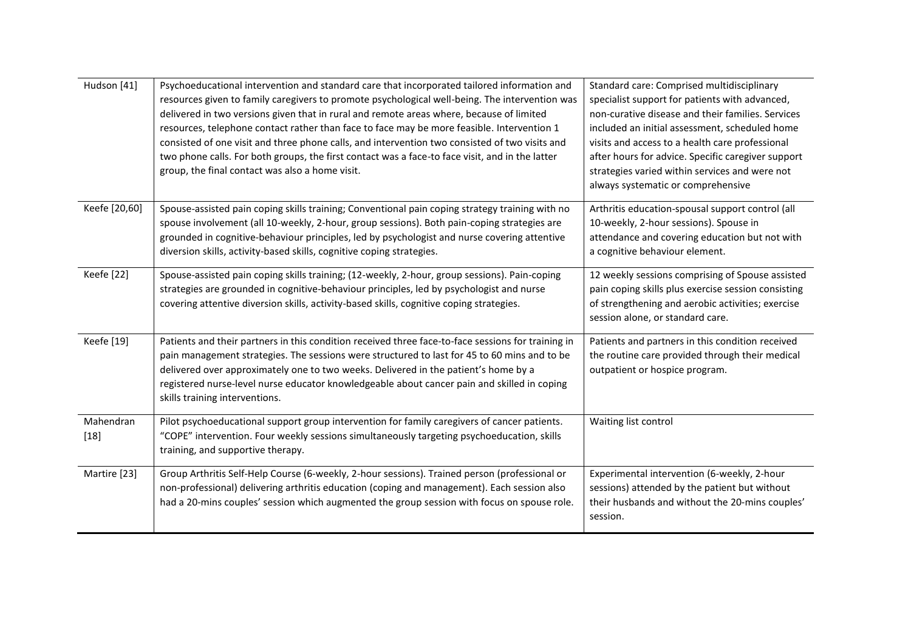| Hudson [41]         | Psychoeducational intervention and standard care that incorporated tailored information and<br>resources given to family caregivers to promote psychological well-being. The intervention was<br>delivered in two versions given that in rural and remote areas where, because of limited<br>resources, telephone contact rather than face to face may be more feasible. Intervention 1<br>consisted of one visit and three phone calls, and intervention two consisted of two visits and<br>two phone calls. For both groups, the first contact was a face-to face visit, and in the latter<br>group, the final contact was also a home visit. | Standard care: Comprised multidisciplinary<br>specialist support for patients with advanced,<br>non-curative disease and their families. Services<br>included an initial assessment, scheduled home<br>visits and access to a health care professional<br>after hours for advice. Specific caregiver support<br>strategies varied within services and were not<br>always systematic or comprehensive |
|---------------------|-------------------------------------------------------------------------------------------------------------------------------------------------------------------------------------------------------------------------------------------------------------------------------------------------------------------------------------------------------------------------------------------------------------------------------------------------------------------------------------------------------------------------------------------------------------------------------------------------------------------------------------------------|------------------------------------------------------------------------------------------------------------------------------------------------------------------------------------------------------------------------------------------------------------------------------------------------------------------------------------------------------------------------------------------------------|
| Keefe [20,60]       | Spouse-assisted pain coping skills training; Conventional pain coping strategy training with no<br>spouse involvement (all 10-weekly, 2-hour, group sessions). Both pain-coping strategies are<br>grounded in cognitive-behaviour principles, led by psychologist and nurse covering attentive<br>diversion skills, activity-based skills, cognitive coping strategies.                                                                                                                                                                                                                                                                         | Arthritis education-spousal support control (all<br>10-weekly, 2-hour sessions). Spouse in<br>attendance and covering education but not with<br>a cognitive behaviour element.                                                                                                                                                                                                                       |
| Keefe [22]          | Spouse-assisted pain coping skills training; (12-weekly, 2-hour, group sessions). Pain-coping<br>strategies are grounded in cognitive-behaviour principles, led by psychologist and nurse<br>covering attentive diversion skills, activity-based skills, cognitive coping strategies.                                                                                                                                                                                                                                                                                                                                                           | 12 weekly sessions comprising of Spouse assisted<br>pain coping skills plus exercise session consisting<br>of strengthening and aerobic activities; exercise<br>session alone, or standard care.                                                                                                                                                                                                     |
| Keefe [19]          | Patients and their partners in this condition received three face-to-face sessions for training in<br>pain management strategies. The sessions were structured to last for 45 to 60 mins and to be<br>delivered over approximately one to two weeks. Delivered in the patient's home by a<br>registered nurse-level nurse educator knowledgeable about cancer pain and skilled in coping<br>skills training interventions.                                                                                                                                                                                                                      | Patients and partners in this condition received<br>the routine care provided through their medical<br>outpatient or hospice program.                                                                                                                                                                                                                                                                |
| Mahendran<br>$[18]$ | Pilot psychoeducational support group intervention for family caregivers of cancer patients.<br>"COPE" intervention. Four weekly sessions simultaneously targeting psychoeducation, skills<br>training, and supportive therapy.                                                                                                                                                                                                                                                                                                                                                                                                                 | Waiting list control                                                                                                                                                                                                                                                                                                                                                                                 |
| Martire [23]        | Group Arthritis Self-Help Course (6-weekly, 2-hour sessions). Trained person (professional or<br>non-professional) delivering arthritis education (coping and management). Each session also<br>had a 20-mins couples' session which augmented the group session with focus on spouse role.                                                                                                                                                                                                                                                                                                                                                     | Experimental intervention (6-weekly, 2-hour<br>sessions) attended by the patient but without<br>their husbands and without the 20-mins couples'<br>session.                                                                                                                                                                                                                                          |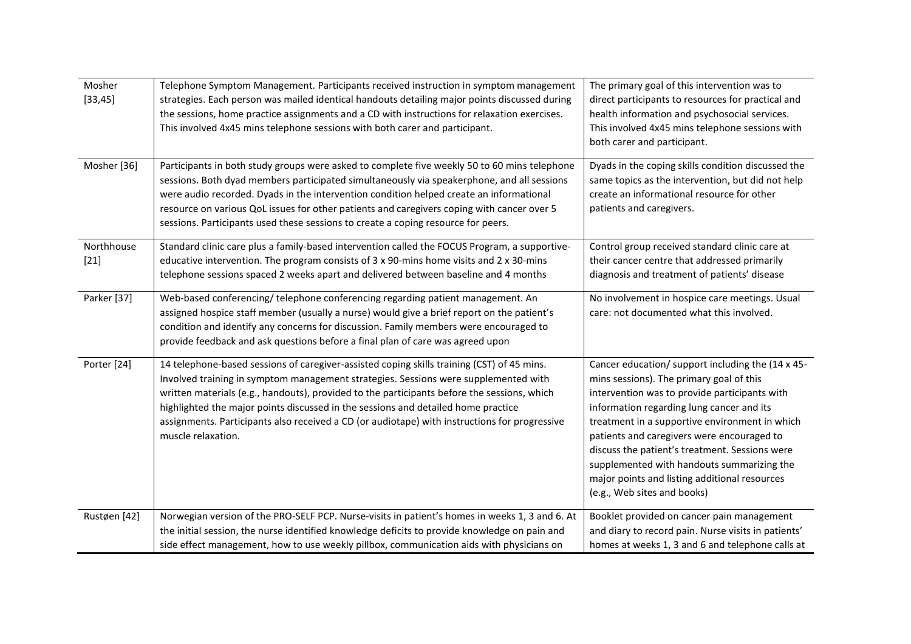| Mosher<br>[33, 45]   | Telephone Symptom Management. Participants received instruction in symptom management<br>strategies. Each person was mailed identical handouts detailing major points discussed during<br>the sessions, home practice assignments and a CD with instructions for relaxation exercises.<br>This involved 4x45 mins telephone sessions with both carer and participant.                                                                                                                        | The primary goal of this intervention was to<br>direct participants to resources for practical and<br>health information and psychosocial services.<br>This involved 4x45 mins telephone sessions with<br>both carer and participant.                                                                                                                                                                                                                                       |
|----------------------|----------------------------------------------------------------------------------------------------------------------------------------------------------------------------------------------------------------------------------------------------------------------------------------------------------------------------------------------------------------------------------------------------------------------------------------------------------------------------------------------|-----------------------------------------------------------------------------------------------------------------------------------------------------------------------------------------------------------------------------------------------------------------------------------------------------------------------------------------------------------------------------------------------------------------------------------------------------------------------------|
| Mosher [36]          | Participants in both study groups were asked to complete five weekly 50 to 60 mins telephone<br>sessions. Both dyad members participated simultaneously via speakerphone, and all sessions<br>were audio recorded. Dyads in the intervention condition helped create an informational<br>resource on various QoL issues for other patients and caregivers coping with cancer over 5<br>sessions. Participants used these sessions to create a coping resource for peers.                     | Dyads in the coping skills condition discussed the<br>same topics as the intervention, but did not help<br>create an informational resource for other<br>patients and caregivers.                                                                                                                                                                                                                                                                                           |
| Northhouse<br>$[21]$ | Standard clinic care plus a family-based intervention called the FOCUS Program, a supportive-<br>educative intervention. The program consists of $3 \times 90$ -mins home visits and $2 \times 30$ -mins<br>telephone sessions spaced 2 weeks apart and delivered between baseline and 4 months                                                                                                                                                                                              | Control group received standard clinic care at<br>their cancer centre that addressed primarily<br>diagnosis and treatment of patients' disease                                                                                                                                                                                                                                                                                                                              |
| Parker [37]          | Web-based conferencing/ telephone conferencing regarding patient management. An<br>assigned hospice staff member (usually a nurse) would give a brief report on the patient's<br>condition and identify any concerns for discussion. Family members were encouraged to<br>provide feedback and ask questions before a final plan of care was agreed upon                                                                                                                                     | No involvement in hospice care meetings. Usual<br>care: not documented what this involved.                                                                                                                                                                                                                                                                                                                                                                                  |
| Porter [24]          | 14 telephone-based sessions of caregiver-assisted coping skills training (CST) of 45 mins.<br>Involved training in symptom management strategies. Sessions were supplemented with<br>written materials (e.g., handouts), provided to the participants before the sessions, which<br>highlighted the major points discussed in the sessions and detailed home practice<br>assignments. Participants also received a CD (or audiotape) with instructions for progressive<br>muscle relaxation. | Cancer education/ support including the (14 x 45-<br>mins sessions). The primary goal of this<br>intervention was to provide participants with<br>information regarding lung cancer and its<br>treatment in a supportive environment in which<br>patients and caregivers were encouraged to<br>discuss the patient's treatment. Sessions were<br>supplemented with handouts summarizing the<br>major points and listing additional resources<br>(e.g., Web sites and books) |
| Rustøen [42]         | Norwegian version of the PRO-SELF PCP. Nurse-visits in patient's homes in weeks 1, 3 and 6. At<br>the initial session, the nurse identified knowledge deficits to provide knowledge on pain and<br>side effect management, how to use weekly pillbox, communication aids with physicians on                                                                                                                                                                                                  | Booklet provided on cancer pain management<br>and diary to record pain. Nurse visits in patients'<br>homes at weeks 1, 3 and 6 and telephone calls at                                                                                                                                                                                                                                                                                                                       |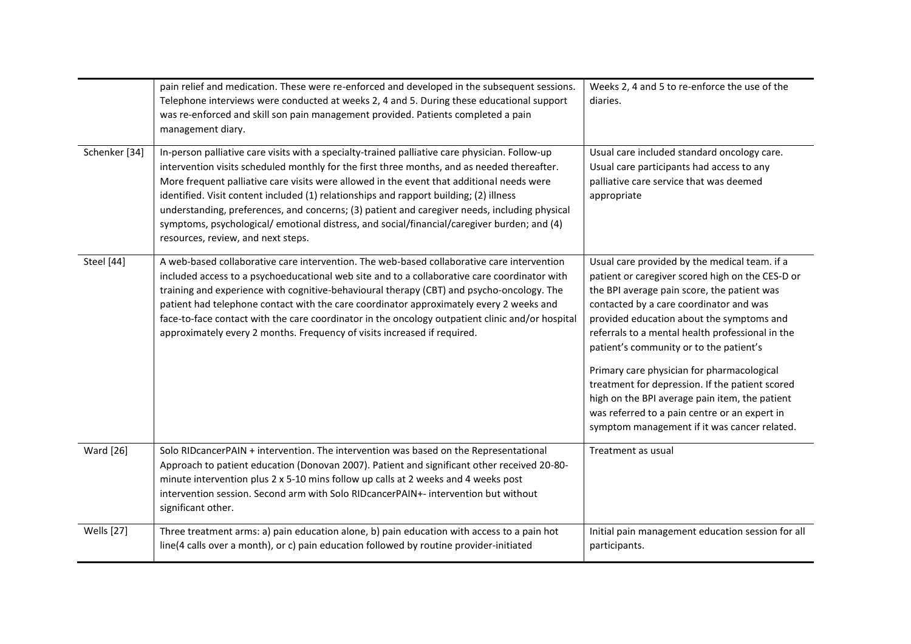|                          | pain relief and medication. These were re-enforced and developed in the subsequent sessions.<br>Telephone interviews were conducted at weeks 2, 4 and 5. During these educational support<br>was re-enforced and skill son pain management provided. Patients completed a pain<br>management diary.                                                                                                                                                                                                                                                                                                                        | Weeks 2, 4 and 5 to re-enforce the use of the<br>diaries.                                                                                                                                                                                                                                                                                                                             |
|--------------------------|----------------------------------------------------------------------------------------------------------------------------------------------------------------------------------------------------------------------------------------------------------------------------------------------------------------------------------------------------------------------------------------------------------------------------------------------------------------------------------------------------------------------------------------------------------------------------------------------------------------------------|---------------------------------------------------------------------------------------------------------------------------------------------------------------------------------------------------------------------------------------------------------------------------------------------------------------------------------------------------------------------------------------|
| Schenker <sup>[34]</sup> | In-person palliative care visits with a specialty-trained palliative care physician. Follow-up<br>intervention visits scheduled monthly for the first three months, and as needed thereafter.<br>More frequent palliative care visits were allowed in the event that additional needs were<br>identified. Visit content included (1) relationships and rapport building; (2) illness<br>understanding, preferences, and concerns; (3) patient and caregiver needs, including physical<br>symptoms, psychological/ emotional distress, and social/financial/caregiver burden; and (4)<br>resources, review, and next steps. | Usual care included standard oncology care.<br>Usual care participants had access to any<br>palliative care service that was deemed<br>appropriate                                                                                                                                                                                                                                    |
| Steel [44]               | A web-based collaborative care intervention. The web-based collaborative care intervention<br>included access to a psychoeducational web site and to a collaborative care coordinator with<br>training and experience with cognitive-behavioural therapy (CBT) and psycho-oncology. The<br>patient had telephone contact with the care coordinator approximately every 2 weeks and<br>face-to-face contact with the care coordinator in the oncology outpatient clinic and/or hospital<br>approximately every 2 months. Frequency of visits increased if required.                                                         | Usual care provided by the medical team. if a<br>patient or caregiver scored high on the CES-D or<br>the BPI average pain score, the patient was<br>contacted by a care coordinator and was<br>provided education about the symptoms and<br>referrals to a mental health professional in the<br>patient's community or to the patient's<br>Primary care physician for pharmacological |
|                          |                                                                                                                                                                                                                                                                                                                                                                                                                                                                                                                                                                                                                            | treatment for depression. If the patient scored<br>high on the BPI average pain item, the patient<br>was referred to a pain centre or an expert in<br>symptom management if it was cancer related.                                                                                                                                                                                    |
| <b>Ward</b> [26]         | Solo RIDcancerPAIN + intervention. The intervention was based on the Representational<br>Approach to patient education (Donovan 2007). Patient and significant other received 20-80-<br>minute intervention plus 2 x 5-10 mins follow up calls at 2 weeks and 4 weeks post<br>intervention session. Second arm with Solo RIDcancerPAIN+- intervention but without<br>significant other.                                                                                                                                                                                                                                    | Treatment as usual                                                                                                                                                                                                                                                                                                                                                                    |
| <b>Wells</b> [27]        | Three treatment arms: a) pain education alone, b) pain education with access to a pain hot<br>line(4 calls over a month), or c) pain education followed by routine provider-initiated                                                                                                                                                                                                                                                                                                                                                                                                                                      | Initial pain management education session for all<br>participants.                                                                                                                                                                                                                                                                                                                    |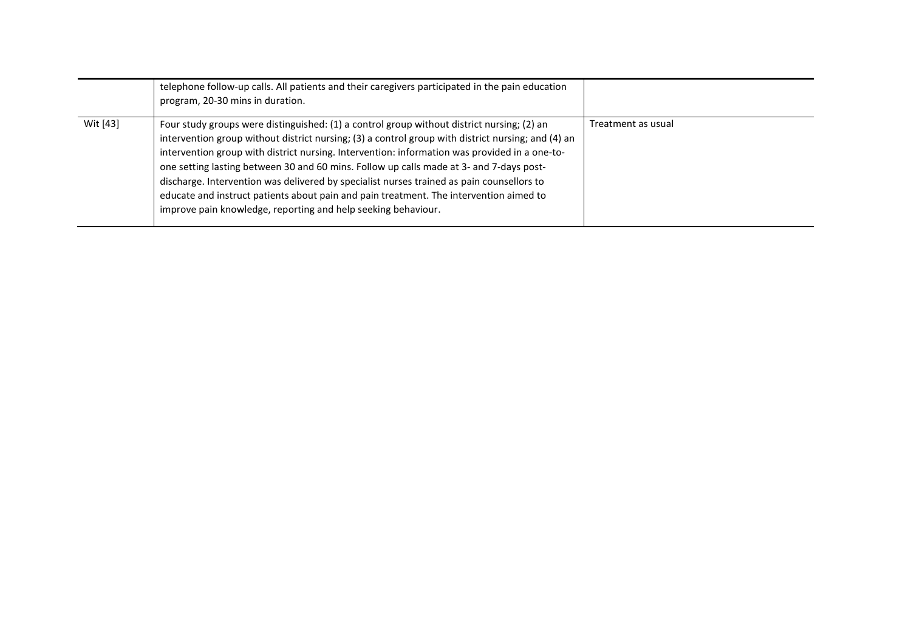|          | telephone follow-up calls. All patients and their caregivers participated in the pain education<br>program, 20-30 mins in duration.                                                                                                                                                                                                                                                                                                                                                                                                                                                                                                                  |                    |
|----------|------------------------------------------------------------------------------------------------------------------------------------------------------------------------------------------------------------------------------------------------------------------------------------------------------------------------------------------------------------------------------------------------------------------------------------------------------------------------------------------------------------------------------------------------------------------------------------------------------------------------------------------------------|--------------------|
| Wit [43] | Four study groups were distinguished: (1) a control group without district nursing; (2) an<br>intervention group without district nursing; (3) a control group with district nursing; and (4) an<br>intervention group with district nursing. Intervention: information was provided in a one-to-<br>one setting lasting between 30 and 60 mins. Follow up calls made at 3- and 7-days post-<br>discharge. Intervention was delivered by specialist nurses trained as pain counsellors to<br>educate and instruct patients about pain and pain treatment. The intervention aimed to<br>improve pain knowledge, reporting and help seeking behaviour. | Treatment as usual |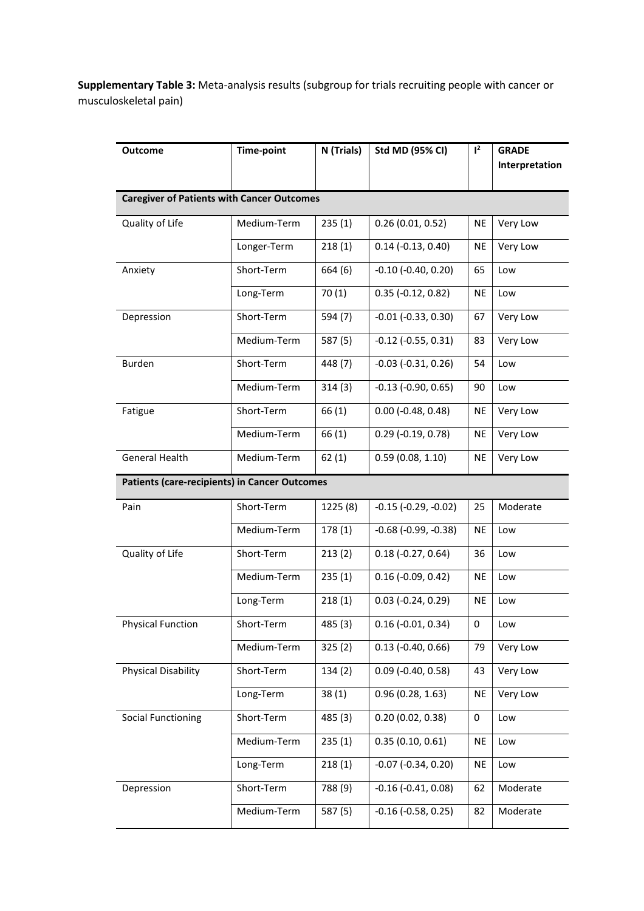**Supplementary Table 3:** Meta-analysis results (subgroup for trials recruiting people with cancer or musculoskeletal pain)

| <b>Outcome</b>                                       | <b>Time-point</b> | N (Trials) | <b>Std MD (95% CI)</b>        | $1^2$     | <b>GRADE</b><br>Interpretation |
|------------------------------------------------------|-------------------|------------|-------------------------------|-----------|--------------------------------|
|                                                      |                   |            |                               |           |                                |
| <b>Caregiver of Patients with Cancer Outcomes</b>    |                   |            |                               |           |                                |
| Quality of Life                                      | Medium-Term       | 235(1)     | 0.26(0.01, 0.52)              | <b>NE</b> | Very Low                       |
|                                                      | Longer-Term       | 218(1)     | $0.14$ (-0.13, 0.40)          | <b>NE</b> | Very Low                       |
| Anxiety                                              | Short-Term        | 664 (6)    | $-0.10$ $(-0.40, 0.20)$       | 65        | Low                            |
|                                                      | Long-Term         | 70(1)      | $0.35$ (-0.12, 0.82)          | <b>NE</b> | Low                            |
| Depression                                           | Short-Term        | 594 (7)    | $-0.01$ $(-0.33, 0.30)$       | 67        | Very Low                       |
|                                                      | Medium-Term       | 587 (5)    | $-0.12$ $(-0.55, 0.31)$       | 83        | Very Low                       |
| <b>Burden</b>                                        | Short-Term        | 448 (7)    | $-0.03$ $(-0.31, 0.26)$       | 54        | Low                            |
|                                                      | Medium-Term       | 314(3)     | $-0.13$ $(-0.90, 0.65)$       | 90        | Low                            |
| Fatigue                                              | Short-Term        | 66 (1)     | $0.00$ (-0.48, 0.48)          | <b>NE</b> | Very Low                       |
|                                                      | Medium-Term       | 66 (1)     | $0.29$ (-0.19, 0.78)          | <b>NE</b> | Very Low                       |
| General Health                                       | Medium-Term       | 62(1)      | 0.59(0.08, 1.10)              | <b>NE</b> | Very Low                       |
| <b>Patients (care-recipients) in Cancer Outcomes</b> |                   |            |                               |           |                                |
| Pain                                                 | Short-Term        | 1225 (8)   | $-0.15$ ( $-0.29$ , $-0.02$ ) | 25        | Moderate                       |
|                                                      | Medium-Term       | 178(1)     | $-0.68$ ( $-0.99$ , $-0.38$ ) | <b>NE</b> | Low                            |
| Quality of Life                                      | Short-Term        | 213(2)     | $0.18(-0.27, 0.64)$           | 36        | Low                            |
|                                                      | Medium-Term       | 235(1)     | $0.16$ (-0.09, 0.42)          | NE        | Low                            |
|                                                      | Long-Term         | 218(1)     | $0.03$ (-0.24, 0.29)          | <b>NE</b> | Low                            |
| <b>Physical Function</b>                             | Short-Term        | 485 (3)    | $0.16$ (-0.01, 0.34)          | 0         | Low                            |
|                                                      | Medium-Term       | 325(2)     | $0.13$ (-0.40, 0.66)          | 79        | Very Low                       |
| Physical Disability                                  | Short-Term        | 134(2)     | $0.09$ (-0.40, 0.58)          | 43        | Very Low                       |
|                                                      | Long-Term         | 38(1)      | 0.96(0.28, 1.63)              | NE        | Very Low                       |
| <b>Social Functioning</b>                            | Short-Term        | 485 (3)    | 0.20(0.02, 0.38)              | 0         | Low                            |
|                                                      | Medium-Term       | 235(1)     | 0.35(0.10, 0.61)              | NE        | Low                            |
|                                                      | Long-Term         | 218(1)     | $-0.07$ $(-0.34, 0.20)$       | <b>NE</b> | Low                            |
| Depression                                           | Short-Term        | 788 (9)    | $-0.16$ $(-0.41, 0.08)$       | 62        | Moderate                       |
|                                                      | Medium-Term       | 587 (5)    | $-0.16$ $(-0.58, 0.25)$       | 82        | Moderate                       |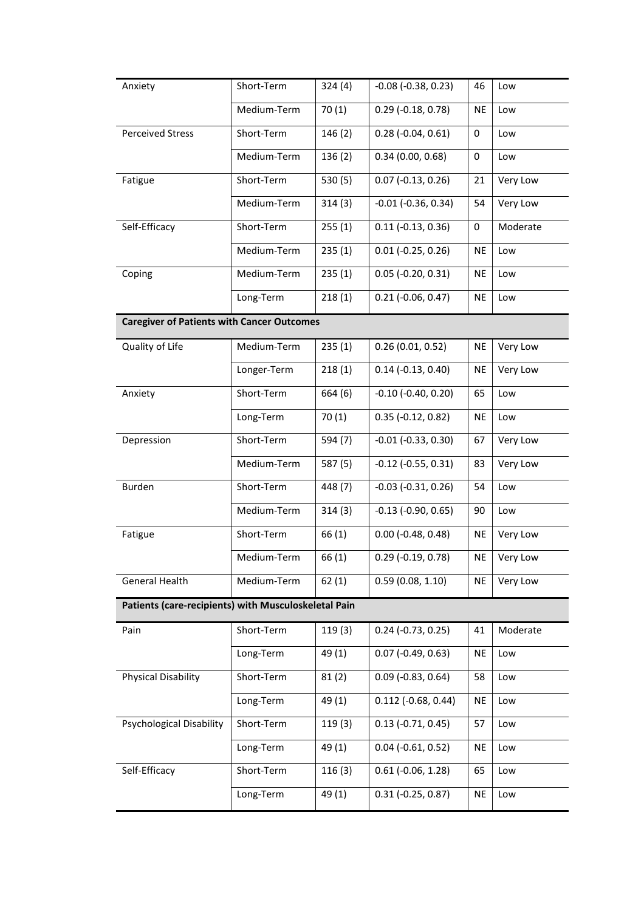| Anxiety                                              | Short-Term  | 324(4)  | $-0.08$ ( $-0.38$ , 0.23) | 46        | Low      |
|------------------------------------------------------|-------------|---------|---------------------------|-----------|----------|
|                                                      | Medium-Term | 70(1)   | $0.29$ (-0.18, 0.78)      | <b>NE</b> | Low      |
| <b>Perceived Stress</b>                              | Short-Term  | 146(2)  | $0.28$ (-0.04, 0.61)      | 0         | Low      |
|                                                      | Medium-Term | 136(2)  | 0.34(0.00, 0.68)          | 0         | Low      |
| Fatigue                                              | Short-Term  | 530 (5) | $0.07$ (-0.13, 0.26)      | 21        | Very Low |
|                                                      | Medium-Term | 314(3)  | $-0.01$ $(-0.36, 0.34)$   | 54        | Very Low |
| Self-Efficacy                                        | Short-Term  | 255(1)  | $0.11$ (-0.13, 0.36)      | 0         | Moderate |
|                                                      | Medium-Term | 235(1)  | $0.01$ (-0.25, 0.26)      | <b>NE</b> | Low      |
| Coping                                               | Medium-Term | 235(1)  | $0.05$ (-0.20, 0.31)      | <b>NE</b> | Low      |
|                                                      | Long-Term   | 218(1)  | $0.21$ (-0.06, 0.47)      | <b>NE</b> | Low      |
| <b>Caregiver of Patients with Cancer Outcomes</b>    |             |         |                           |           |          |
| Quality of Life                                      | Medium-Term | 235(1)  | 0.26(0.01, 0.52)          | <b>NE</b> | Very Low |
|                                                      | Longer-Term | 218(1)  | $0.14$ (-0.13, 0.40)      | <b>NE</b> | Very Low |
| Anxiety                                              | Short-Term  | 664 (6) | $-0.10$ $(-0.40, 0.20)$   | 65        | Low      |
|                                                      | Long-Term   | 70(1)   | $0.35$ (-0.12, 0.82)      | <b>NE</b> | Low      |
| Depression                                           | Short-Term  | 594 (7) | $-0.01$ $(-0.33, 0.30)$   | 67        | Very Low |
|                                                      | Medium-Term | 587 (5) | $-0.12$ $(-0.55, 0.31)$   | 83        | Very Low |
| Burden                                               | Short-Term  | 448 (7) | $-0.03$ $(-0.31, 0.26)$   | 54        | Low      |
|                                                      | Medium-Term | 314(3)  | $-0.13$ $(-0.90, 0.65)$   | 90        | Low      |
| Fatigue                                              | Short-Term  | 66 (1)  | $0.00$ (-0.48, 0.48)      | <b>NE</b> | Very Low |
|                                                      | Medium-Term | 66 (1)  | $0.29$ (-0.19, 0.78)      | NE        | Very Low |
| General Health                                       | Medium-Term | 62(1)   | 0.59(0.08, 1.10)          | <b>NE</b> | Very Low |
| Patients (care-recipients) with Musculoskeletal Pain |             |         |                           |           |          |
| Pain                                                 | Short-Term  | 119(3)  | $0.24$ (-0.73, 0.25)      | 41        | Moderate |
|                                                      | Long-Term   | 49 (1)  | $0.07$ (-0.49, 0.63)      | <b>NE</b> | Low      |
| <b>Physical Disability</b>                           | Short-Term  | 81(2)   | $0.09$ (-0.83, 0.64)      | 58        | Low      |
|                                                      | Long-Term   | 49 (1)  | $0.112$ (-0.68, 0.44)     | <b>NE</b> | Low      |
| Psychological Disability                             | Short-Term  | 119(3)  | $0.13$ (-0.71, 0.45)      | 57        | Low      |
|                                                      | Long-Term   | 49 (1)  | $0.04$ (-0.61, 0.52)      | NE        | Low      |
| Self-Efficacy                                        | Short-Term  | 116(3)  | $0.61$ (-0.06, 1.28)      | 65        | Low      |
|                                                      | Long-Term   | 49 (1)  | $0.31$ (-0.25, 0.87)      | <b>NE</b> | Low      |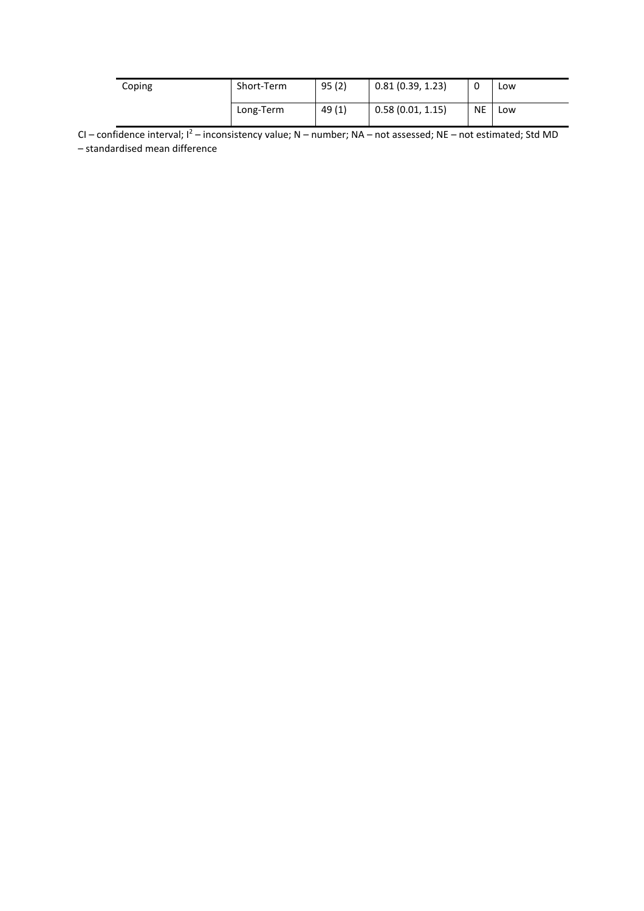| Coping | Short-Term | 95(2) | 0.81(0.39, 1.23) |           | Low |
|--------|------------|-------|------------------|-----------|-----|
|        | Long-Term  | 49(1) | 0.58(0.01, 1.15) | <b>NE</b> | Low |

CI – confidence interval; I<sup>2</sup> – inconsistency value; N – number; NA – not assessed; NE – not estimated; Std MD – standardised mean difference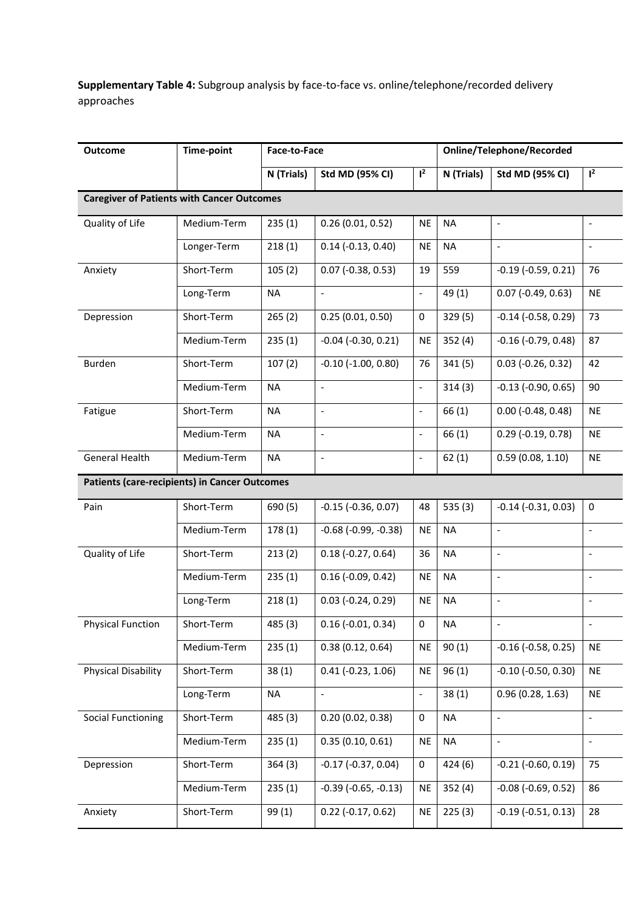**Supplementary Table 4:** Subgroup analysis by face-to-face vs. online/telephone/recorded delivery approaches

| <b>Outcome</b>                                    | <b>Time-point</b> | Face-to-Face |                               |                              | <b>Online/Telephone/Recorded</b> |                              |                              |  |
|---------------------------------------------------|-------------------|--------------|-------------------------------|------------------------------|----------------------------------|------------------------------|------------------------------|--|
|                                                   |                   | N (Trials)   | Std MD (95% CI)               | $l^2$                        | N (Trials)                       | <b>Std MD (95% CI)</b>       | $l^2$                        |  |
| <b>Caregiver of Patients with Cancer Outcomes</b> |                   |              |                               |                              |                                  |                              |                              |  |
| Quality of Life                                   | Medium-Term       | 235(1)       | 0.26(0.01, 0.52)              | <b>NE</b>                    | <b>NA</b>                        | $\overline{\phantom{a}}$     | $\overline{a}$               |  |
|                                                   | Longer-Term       | 218(1)       | $0.14$ (-0.13, 0.40)          | <b>NE</b>                    | <b>NA</b>                        | $\Box$                       | $\frac{1}{2}$                |  |
| Anxiety                                           | Short-Term        | 105(2)       | $0.07$ (-0.38, 0.53)          | 19                           | 559                              | $-0.19$ $(-0.59, 0.21)$      | 76                           |  |
|                                                   | Long-Term         | <b>NA</b>    | $\blacksquare$                | $\blacksquare$               | 49 (1)                           | $0.07$ (-0.49, 0.63)         | <b>NE</b>                    |  |
| Depression                                        | Short-Term        | 265(2)       | 0.25(0.01, 0.50)              | 0                            | 329 (5)                          | $-0.14$ $(-0.58, 0.29)$      | 73                           |  |
|                                                   | Medium-Term       | 235(1)       | $-0.04$ $(-0.30, 0.21)$       | NE                           | 352(4)                           | $-0.16$ $(-0.79, 0.48)$      | 87                           |  |
| Burden                                            | Short-Term        | 107(2)       | $-0.10$ $(-1.00, 0.80)$       | 76                           | 341(5)                           | $0.03$ (-0.26, 0.32)         | 42                           |  |
|                                                   | Medium-Term       | <b>NA</b>    | $\qquad \qquad \blacksquare$  | $\qquad \qquad \blacksquare$ | 314(3)                           | $-0.13$ $(-0.90, 0.65)$      | 90                           |  |
| Fatigue                                           | Short-Term        | <b>NA</b>    | $\overline{a}$                | $\frac{1}{2}$                | 66(1)                            | $0.00$ (-0.48, 0.48)         | <b>NE</b>                    |  |
|                                                   | Medium-Term       | <b>NA</b>    | $\overline{\phantom{a}}$      | $\qquad \qquad \blacksquare$ | 66(1)                            | $0.29$ (-0.19, 0.78)         | <b>NE</b>                    |  |
| <b>General Health</b>                             | Medium-Term       | <b>NA</b>    |                               | $\overline{\phantom{0}}$     | 62(1)                            | 0.59(0.08, 1.10)             | <b>NE</b>                    |  |
| Patients (care-recipients) in Cancer Outcomes     |                   |              |                               |                              |                                  |                              |                              |  |
| Pain                                              | Short-Term        | 690 (5)      | $-0.15$ ( $-0.36$ , $0.07$ )  | 48                           | 535(3)                           | $-0.14$ $(-0.31, 0.03)$      | $\pmb{0}$                    |  |
|                                                   | Medium-Term       | 178(1)       | $-0.68$ ( $-0.99$ , $-0.38$ ) | <b>NE</b>                    | <b>NA</b>                        | $\overline{\phantom{a}}$     | $\overline{a}$               |  |
| Quality of Life                                   | Short-Term        | 213(2)       | $0.18(-0.27, 0.64)$           | 36                           | <b>NA</b>                        | $\blacksquare$               | $\qquad \qquad \blacksquare$ |  |
|                                                   | Medium-Term       | 235(1)       | $0.16$ (-0.09, 0.42)          | <b>NE</b>                    | <b>NA</b>                        | $\Box$                       | $\overline{a}$               |  |
|                                                   | Long-Term         | 218(1)       | $0.03$ (-0.24, 0.29)          | <b>NE</b>                    | <b>NA</b>                        | $\bar{\phantom{a}}$          | $\overline{\phantom{0}}$     |  |
| <b>Physical Function</b>                          | Short-Term        | 485 (3)      | $0.16$ (-0.01, 0.34)          | 0                            | <b>NA</b>                        |                              |                              |  |
|                                                   | Medium-Term       | 235(1)       | 0.38(0.12, 0.64)              | <b>NE</b>                    | 90(1)                            | $-0.16$ ( $-0.58$ , 0.25)    | <b>NE</b>                    |  |
| <b>Physical Disability</b>                        | Short-Term        | 38(1)        | $0.41$ ( $-0.23$ , $1.06$ )   | <b>NE</b>                    | 96(1)                            | $-0.10$ $(-0.50, 0.30)$      | <b>NE</b>                    |  |
|                                                   | Long-Term         | NA           | $\blacksquare$                | $\blacksquare$               | 38(1)                            | 0.96(0.28, 1.63)             | <b>NE</b>                    |  |
| <b>Social Functioning</b>                         | Short-Term        | 485 (3)      | 0.20(0.02, 0.38)              | 0                            | <b>NA</b>                        |                              | $\qquad \qquad \blacksquare$ |  |
|                                                   | Medium-Term       | 235(1)       | 0.35(0.10, 0.61)              | <b>NE</b>                    | <b>NA</b>                        | $\overline{\phantom{a}}$     | $\frac{1}{2}$                |  |
| Depression                                        | Short-Term        | 364(3)       | $-0.17$ $(-0.37, 0.04)$       | 0                            | 424 (6)                          | $-0.21$ $(-0.60, 0.19)$      | 75                           |  |
|                                                   | Medium-Term       | 235(1)       | $-0.39$ ( $-0.65$ , $-0.13$ ) | NE                           | 352(4)                           | $-0.08$ ( $-0.69$ , $0.52$ ) | 86                           |  |
| Anxiety                                           | Short-Term        | 99(1)        | $0.22$ (-0.17, 0.62)          | <b>NE</b>                    | 225(3)                           | $-0.19$ $(-0.51, 0.13)$      | 28                           |  |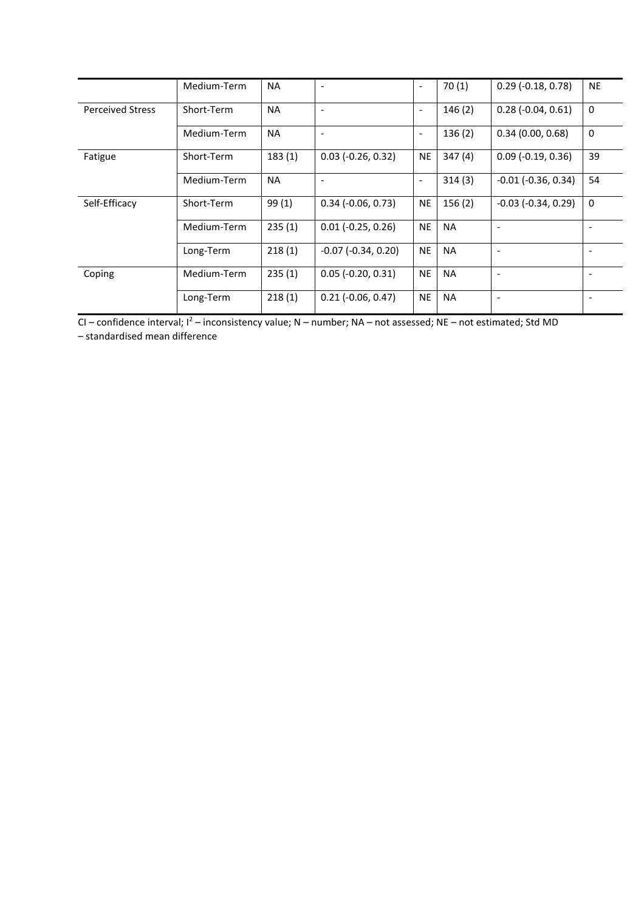|                         | Medium-Term | <b>NA</b> |                             |                          | 70(1)     | $0.29$ (-0.18, 0.78)        | <b>NE</b>                |
|-------------------------|-------------|-----------|-----------------------------|--------------------------|-----------|-----------------------------|--------------------------|
| <b>Perceived Stress</b> | Short-Term  | <b>NA</b> | $\overline{\phantom{a}}$    | $\overline{\phantom{0}}$ | 146(2)    | $0.28$ (-0.04, 0.61)        | 0                        |
|                         | Medium-Term | <b>NA</b> | $\overline{\phantom{a}}$    |                          | 136(2)    | 0.34(0.00, 0.68)            | 0                        |
| Fatigue                 | Short-Term  | 183(1)    | $0.03$ (-0.26, 0.32)        | <b>NE</b>                | 347(4)    | $0.09$ ( $-0.19$ , $0.36$ ) | 39                       |
|                         | Medium-Term | <b>NA</b> | $\overline{\phantom{a}}$    | $\overline{\phantom{a}}$ | 314(3)    | $-0.01$ $(-0.36, 0.34)$     | 54                       |
| Self-Efficacy           | Short-Term  | 99(1)     | $0.34$ (-0.06, 0.73)        | <b>NE</b>                | 156(2)    | $-0.03$ $(-0.34, 0.29)$     | 0                        |
|                         | Medium-Term | 235(1)    | $0.01$ ( $-0.25$ , $0.26$ ) | <b>NE</b>                | <b>NA</b> |                             |                          |
|                         | Long-Term   | 218(1)    | $-0.07$ ( $-0.34$ , 0.20)   | <b>NE</b>                | <b>NA</b> | $\overline{\phantom{a}}$    | $\overline{\phantom{a}}$ |
| Coping                  | Medium-Term | 235(1)    | $0.05$ (-0.20, 0.31)        | <b>NE</b>                | <b>NA</b> | $\overline{\phantom{a}}$    | $\overline{\phantom{a}}$ |
|                         | Long-Term   | 218(1)    | $0.21$ ( $-0.06$ , $0.47$ ) | <b>NE</b>                | <b>NA</b> |                             |                          |

 $Cl$  – confidence interval;  $l^2$  – inconsistency value; N – number; NA – not assessed; NE – not estimated; Std MD

– standardised mean difference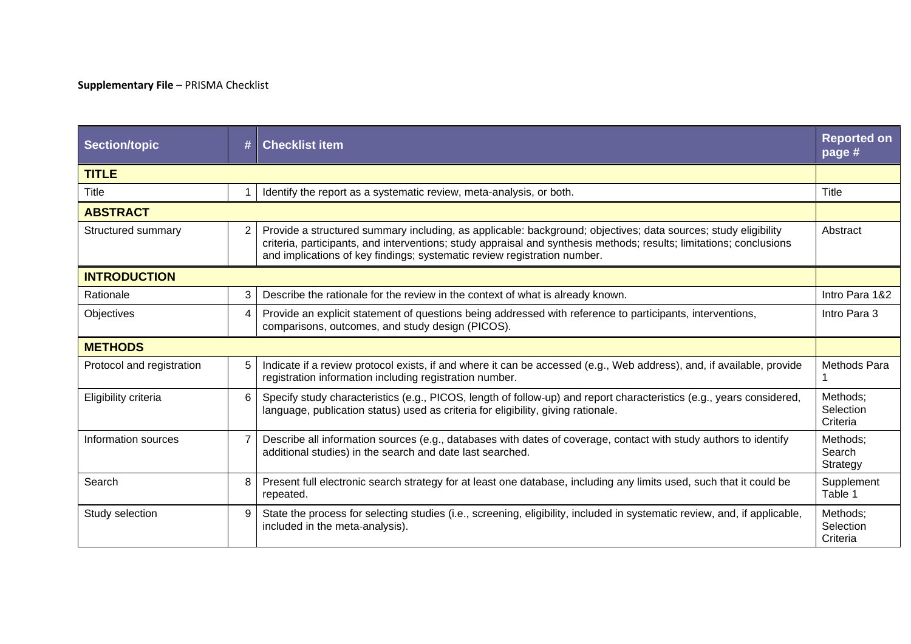# **Supplementary File** – PRISMA Checklist

| <b>Section/topic</b>      | # | <b>Checklist item</b>                                                                                                                                                                                                                                                                                             | <b>Reported on</b><br>page #      |
|---------------------------|---|-------------------------------------------------------------------------------------------------------------------------------------------------------------------------------------------------------------------------------------------------------------------------------------------------------------------|-----------------------------------|
| <b>TITLE</b>              |   |                                                                                                                                                                                                                                                                                                                   |                                   |
| Title                     |   | Identify the report as a systematic review, meta-analysis, or both.                                                                                                                                                                                                                                               | Title                             |
| <b>ABSTRACT</b>           |   |                                                                                                                                                                                                                                                                                                                   |                                   |
| Structured summary        | 2 | Provide a structured summary including, as applicable: background; objectives; data sources; study eligibility<br>criteria, participants, and interventions; study appraisal and synthesis methods; results; limitations; conclusions<br>and implications of key findings; systematic review registration number. | Abstract                          |
| <b>INTRODUCTION</b>       |   |                                                                                                                                                                                                                                                                                                                   |                                   |
| Rationale                 | 3 | Describe the rationale for the review in the context of what is already known.                                                                                                                                                                                                                                    | Intro Para 1&2                    |
| Objectives                | 4 | Provide an explicit statement of questions being addressed with reference to participants, interventions,<br>comparisons, outcomes, and study design (PICOS).                                                                                                                                                     | Intro Para 3                      |
| <b>METHODS</b>            |   |                                                                                                                                                                                                                                                                                                                   |                                   |
| Protocol and registration | 5 | Indicate if a review protocol exists, if and where it can be accessed (e.g., Web address), and, if available, provide<br>registration information including registration number.                                                                                                                                  | Methods Para                      |
| Eligibility criteria      | 6 | Specify study characteristics (e.g., PICOS, length of follow-up) and report characteristics (e.g., years considered,<br>language, publication status) used as criteria for eligibility, giving rationale.                                                                                                         | Methods;<br>Selection<br>Criteria |
| Information sources       | 7 | Describe all information sources (e.g., databases with dates of coverage, contact with study authors to identify<br>additional studies) in the search and date last searched.                                                                                                                                     | Methods:<br>Search<br>Strategy    |
| Search                    | 8 | Present full electronic search strategy for at least one database, including any limits used, such that it could be<br>repeated.                                                                                                                                                                                  | Supplement<br>Table 1             |
| Study selection           | 9 | State the process for selecting studies (i.e., screening, eligibility, included in systematic review, and, if applicable,<br>included in the meta-analysis).                                                                                                                                                      | Methods;<br>Selection<br>Criteria |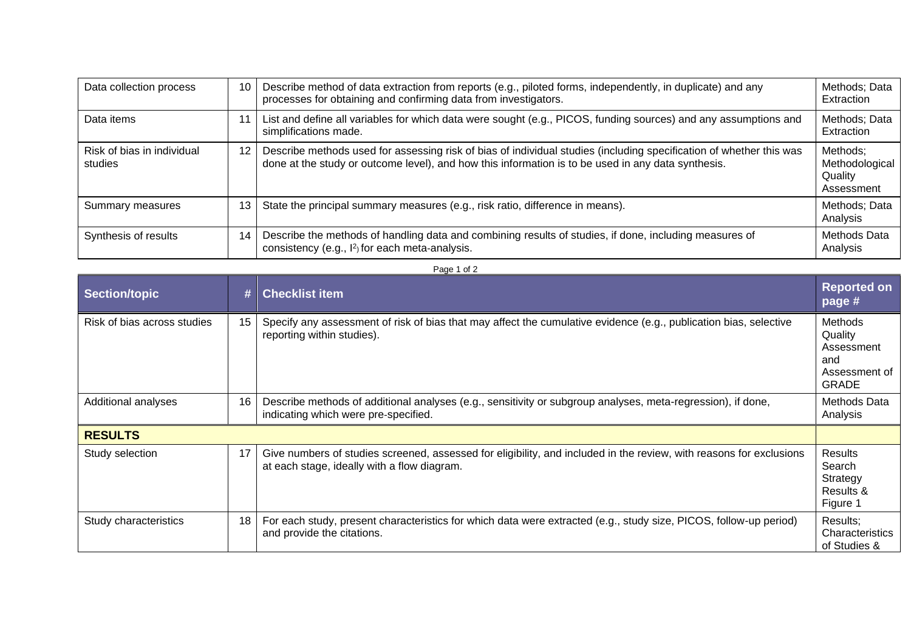| Data collection process               | 10 | Describe method of data extraction from reports (e.g., piloted forms, independently, in duplicate) and any<br>processes for obtaining and confirming data from investigators.                                             | Methods; Data<br>Extraction                         |
|---------------------------------------|----|---------------------------------------------------------------------------------------------------------------------------------------------------------------------------------------------------------------------------|-----------------------------------------------------|
| Data items                            |    | List and define all variables for which data were sought (e.g., PICOS, funding sources) and any assumptions and<br>simplifications made.                                                                                  | Methods; Data<br>Extraction                         |
| Risk of bias in individual<br>studies | 12 | Describe methods used for assessing risk of bias of individual studies (including specification of whether this was<br>done at the study or outcome level), and how this information is to be used in any data synthesis. | Methods;<br>Methodological<br>Quality<br>Assessment |
| Summary measures                      | 13 | State the principal summary measures (e.g., risk ratio, difference in means).                                                                                                                                             | Methods; Data<br>Analysis                           |
| Synthesis of results                  | 14 | Describe the methods of handling data and combining results of studies, if done, including measures of<br>consistency (e.g., l <sup>2</sup> ) for each meta-analysis.                                                     | <b>Methods Data</b><br>Analysis                     |

| ıΑ<br>ΩT |  |
|----------|--|
|----------|--|

| <b>Section/topic</b>        | #  | <b>Checklist item</b>                                                                                                                                              | <b>Reported on</b><br>page #                                             |
|-----------------------------|----|--------------------------------------------------------------------------------------------------------------------------------------------------------------------|--------------------------------------------------------------------------|
| Risk of bias across studies | 15 | Specify any assessment of risk of bias that may affect the cumulative evidence (e.g., publication bias, selective<br>reporting within studies).                    | Methods<br>Quality<br>Assessment<br>and<br>Assessment of<br><b>GRADE</b> |
| Additional analyses         | 16 | Describe methods of additional analyses (e.g., sensitivity or subgroup analyses, meta-regression), if done,<br>indicating which were pre-specified.                | Methods Data<br>Analysis                                                 |
| <b>RESULTS</b>              |    |                                                                                                                                                                    |                                                                          |
| Study selection             | 17 | Give numbers of studies screened, assessed for eligibility, and included in the review, with reasons for exclusions<br>at each stage, ideally with a flow diagram. | <b>Results</b><br>Search<br>Strategy<br>Results &<br>Figure 1            |
| Study characteristics       | 18 | For each study, present characteristics for which data were extracted (e.g., study size, PICOS, follow-up period)<br>and provide the citations.                    | Results;<br>Characteristics<br>of Studies &                              |